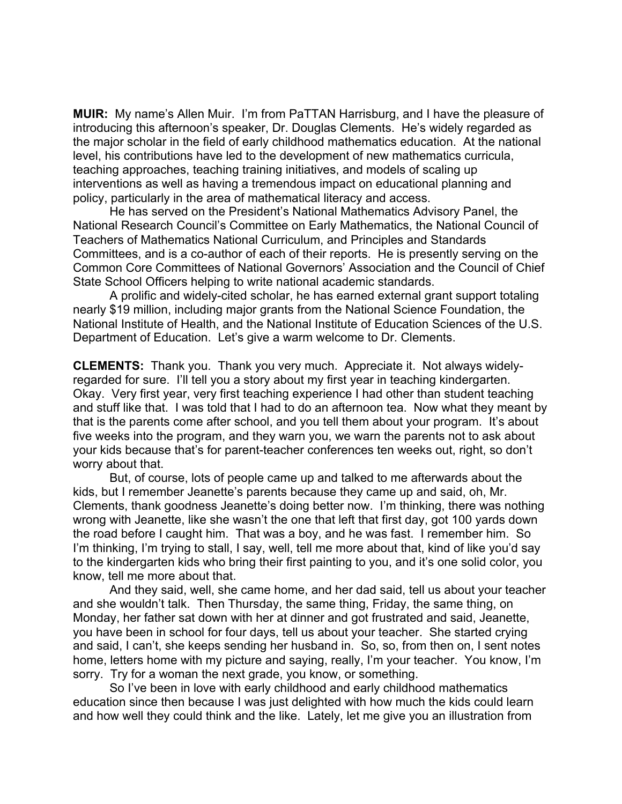**MUIR:** My name's Allen Muir. I'm from PaTTAN Harrisburg, and I have the pleasure of introducing this afternoon's speaker, Dr. Douglas Clements. He's widely regarded as the major scholar in the field of early childhood mathematics education. At the national level, his contributions have led to the development of new mathematics curricula, teaching approaches, teaching training initiatives, and models of scaling up interventions as well as having a tremendous impact on educational planning and policy, particularly in the area of mathematical literacy and access.

He has served on the President's National Mathematics Advisory Panel, the National Research Council's Committee on Early Mathematics, the National Council of Teachers of Mathematics National Curriculum, and Principles and Standards Committees, and is a co-author of each of their reports. He is presently serving on the Common Core Committees of National Governors' Association and the Council of Chief State School Officers helping to write national academic standards.

A prolific and widely-cited scholar, he has earned external grant support totaling nearly \$19 million, including major grants from the National Science Foundation, the National Institute of Health, and the National Institute of Education Sciences of the U.S. Department of Education. Let's give a warm welcome to Dr. Clements.

**CLEMENTS:** Thank you. Thank you very much. Appreciate it. Not always widelyregarded for sure. I'll tell you a story about my first year in teaching kindergarten. Okay. Very first year, very first teaching experience I had other than student teaching and stuff like that. I was told that I had to do an afternoon tea. Now what they meant by that is the parents come after school, and you tell them about your program. It's about five weeks into the program, and they warn you, we warn the parents not to ask about your kids because that's for parent-teacher conferences ten weeks out, right, so don't worry about that.

But, of course, lots of people came up and talked to me afterwards about the kids, but I remember Jeanette's parents because they came up and said, oh, Mr. Clements, thank goodness Jeanette's doing better now. I'm thinking, there was nothing wrong with Jeanette, like she wasn't the one that left that first day, got 100 yards down the road before I caught him. That was a boy, and he was fast. I remember him. So I'm thinking, I'm trying to stall, I say, well, tell me more about that, kind of like you'd say to the kindergarten kids who bring their first painting to you, and it's one solid color, you know, tell me more about that.

And they said, well, she came home, and her dad said, tell us about your teacher and she wouldn't talk. Then Thursday, the same thing, Friday, the same thing, on Monday, her father sat down with her at dinner and got frustrated and said, Jeanette, you have been in school for four days, tell us about your teacher. She started crying and said, I can't, she keeps sending her husband in. So, so, from then on, I sent notes home, letters home with my picture and saying, really, I'm your teacher. You know, I'm sorry. Try for a woman the next grade, you know, or something.

So I've been in love with early childhood and early childhood mathematics education since then because I was just delighted with how much the kids could learn and how well they could think and the like. Lately, let me give you an illustration from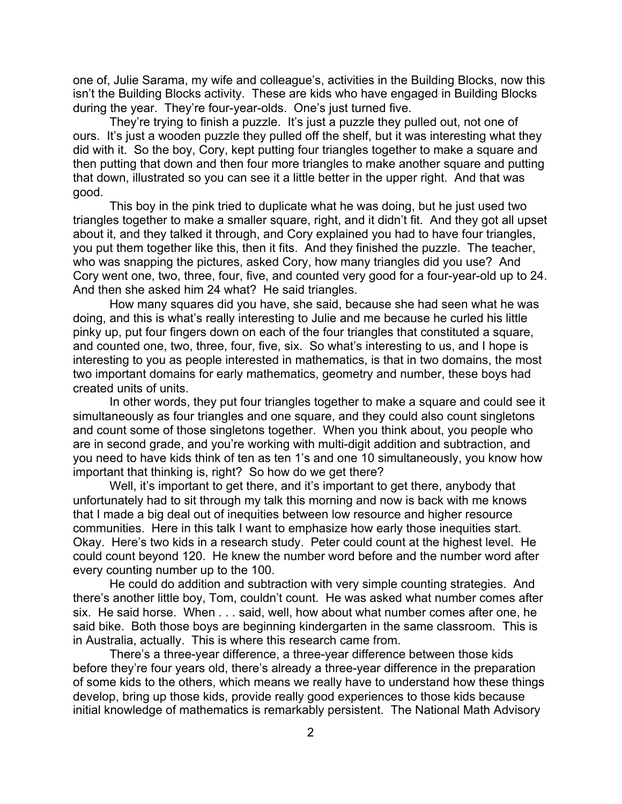one of, Julie Sarama, my wife and colleague's, activities in the Building Blocks, now this isn't the Building Blocks activity. These are kids who have engaged in Building Blocks during the year. They're four-year-olds. One's just turned five.

They're trying to finish a puzzle. It's just a puzzle they pulled out, not one of ours. It's just a wooden puzzle they pulled off the shelf, but it was interesting what they did with it. So the boy, Cory, kept putting four triangles together to make a square and then putting that down and then four more triangles to make another square and putting that down, illustrated so you can see it a little better in the upper right. And that was good.

This boy in the pink tried to duplicate what he was doing, but he just used two triangles together to make a smaller square, right, and it didn't fit. And they got all upset about it, and they talked it through, and Cory explained you had to have four triangles, you put them together like this, then it fits. And they finished the puzzle. The teacher, who was snapping the pictures, asked Cory, how many triangles did you use? And Cory went one, two, three, four, five, and counted very good for a four-year-old up to 24. And then she asked him 24 what? He said triangles.

How many squares did you have, she said, because she had seen what he was doing, and this is what's really interesting to Julie and me because he curled his little pinky up, put four fingers down on each of the four triangles that constituted a square, and counted one, two, three, four, five, six. So what's interesting to us, and I hope is interesting to you as people interested in mathematics, is that in two domains, the most two important domains for early mathematics, geometry and number, these boys had created units of units.

In other words, they put four triangles together to make a square and could see it simultaneously as four triangles and one square, and they could also count singletons and count some of those singletons together. When you think about, you people who are in second grade, and you're working with multi-digit addition and subtraction, and you need to have kids think of ten as ten 1's and one 10 simultaneously, you know how important that thinking is, right? So how do we get there?

Well, it's important to get there, and it's important to get there, anybody that unfortunately had to sit through my talk this morning and now is back with me knows that I made a big deal out of inequities between low resource and higher resource communities. Here in this talk I want to emphasize how early those inequities start. Okay. Here's two kids in a research study. Peter could count at the highest level. He could count beyond 120. He knew the number word before and the number word after every counting number up to the 100.

He could do addition and subtraction with very simple counting strategies. And there's another little boy, Tom, couldn't count. He was asked what number comes after six. He said horse. When . . . said, well, how about what number comes after one, he said bike. Both those boys are beginning kindergarten in the same classroom. This is in Australia, actually. This is where this research came from.

There's a three-year difference, a three-year difference between those kids before they're four years old, there's already a three-year difference in the preparation of some kids to the others, which means we really have to understand how these things develop, bring up those kids, provide really good experiences to those kids because initial knowledge of mathematics is remarkably persistent. The National Math Advisory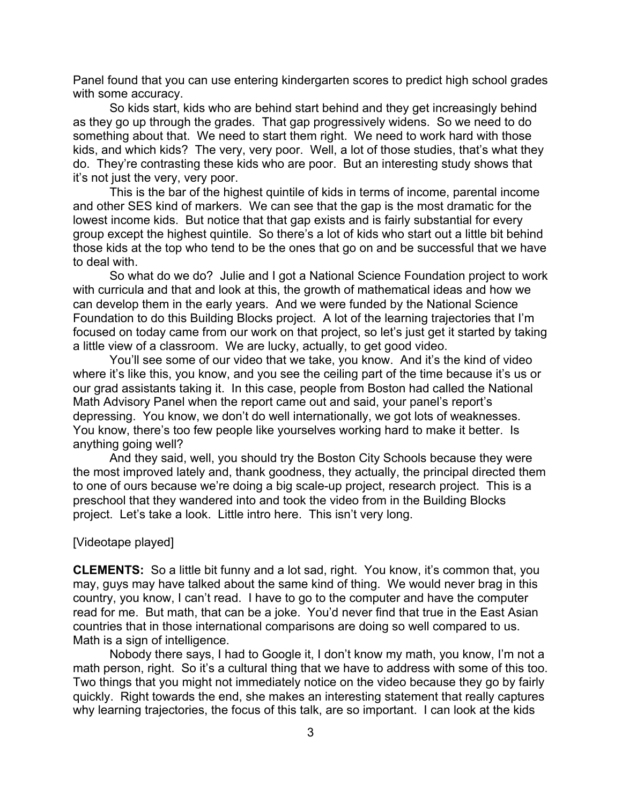Panel found that you can use entering kindergarten scores to predict high school grades with some accuracy.

So kids start, kids who are behind start behind and they get increasingly behind as they go up through the grades. That gap progressively widens. So we need to do something about that. We need to start them right. We need to work hard with those kids, and which kids? The very, very poor. Well, a lot of those studies, that's what they do. They're contrasting these kids who are poor. But an interesting study shows that it's not just the very, very poor.

This is the bar of the highest quintile of kids in terms of income, parental income and other SES kind of markers. We can see that the gap is the most dramatic for the lowest income kids. But notice that that gap exists and is fairly substantial for every group except the highest quintile. So there's a lot of kids who start out a little bit behind those kids at the top who tend to be the ones that go on and be successful that we have to deal with.

So what do we do? Julie and I got a National Science Foundation project to work with curricula and that and look at this, the growth of mathematical ideas and how we can develop them in the early years. And we were funded by the National Science Foundation to do this Building Blocks project. A lot of the learning trajectories that I'm focused on today came from our work on that project, so let's just get it started by taking a little view of a classroom. We are lucky, actually, to get good video.

You'll see some of our video that we take, you know. And it's the kind of video where it's like this, you know, and you see the ceiling part of the time because it's us or our grad assistants taking it. In this case, people from Boston had called the National Math Advisory Panel when the report came out and said, your panel's report's depressing. You know, we don't do well internationally, we got lots of weaknesses. You know, there's too few people like yourselves working hard to make it better. Is anything going well?

And they said, well, you should try the Boston City Schools because they were the most improved lately and, thank goodness, they actually, the principal directed them to one of ours because we're doing a big scale-up project, research project. This is a preschool that they wandered into and took the video from in the Building Blocks project. Let's take a look. Little intro here. This isn't very long.

## [Videotape played]

**CLEMENTS:** So a little bit funny and a lot sad, right. You know, it's common that, you may, guys may have talked about the same kind of thing. We would never brag in this country, you know, I can't read. I have to go to the computer and have the computer read for me. But math, that can be a joke. You'd never find that true in the East Asian countries that in those international comparisons are doing so well compared to us. Math is a sign of intelligence.

Nobody there says, I had to Google it, I don't know my math, you know, I'm not a math person, right. So it's a cultural thing that we have to address with some of this too. Two things that you might not immediately notice on the video because they go by fairly quickly. Right towards the end, she makes an interesting statement that really captures why learning trajectories, the focus of this talk, are so important. I can look at the kids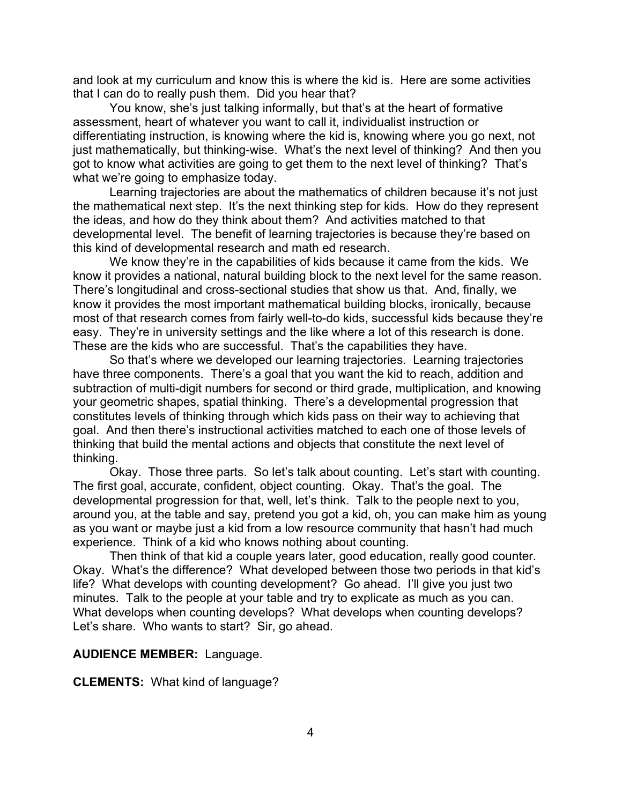and look at my curriculum and know this is where the kid is. Here are some activities that I can do to really push them. Did you hear that?

You know, she's just talking informally, but that's at the heart of formative assessment, heart of whatever you want to call it, individualist instruction or differentiating instruction, is knowing where the kid is, knowing where you go next, not just mathematically, but thinking-wise. What's the next level of thinking? And then you got to know what activities are going to get them to the next level of thinking? That's what we're going to emphasize today.

Learning trajectories are about the mathematics of children because it's not just the mathematical next step. It's the next thinking step for kids. How do they represent the ideas, and how do they think about them? And activities matched to that developmental level. The benefit of learning trajectories is because they're based on this kind of developmental research and math ed research.

We know they're in the capabilities of kids because it came from the kids. We know it provides a national, natural building block to the next level for the same reason. There's longitudinal and cross-sectional studies that show us that. And, finally, we know it provides the most important mathematical building blocks, ironically, because most of that research comes from fairly well-to-do kids, successful kids because they're easy. They're in university settings and the like where a lot of this research is done. These are the kids who are successful. That's the capabilities they have.

So that's where we developed our learning trajectories. Learning trajectories have three components. There's a goal that you want the kid to reach, addition and subtraction of multi-digit numbers for second or third grade, multiplication, and knowing your geometric shapes, spatial thinking. There's a developmental progression that constitutes levels of thinking through which kids pass on their way to achieving that goal. And then there's instructional activities matched to each one of those levels of thinking that build the mental actions and objects that constitute the next level of thinking.

Okay. Those three parts. So let's talk about counting. Let's start with counting. The first goal, accurate, confident, object counting. Okay. That's the goal. The developmental progression for that, well, let's think. Talk to the people next to you, around you, at the table and say, pretend you got a kid, oh, you can make him as young as you want or maybe just a kid from a low resource community that hasn't had much experience. Think of a kid who knows nothing about counting.

Then think of that kid a couple years later, good education, really good counter. Okay. What's the difference? What developed between those two periods in that kid's life? What develops with counting development? Go ahead. I'll give you just two minutes. Talk to the people at your table and try to explicate as much as you can. What develops when counting develops? What develops when counting develops? Let's share. Who wants to start? Sir, go ahead.

### **AUDIENCE MEMBER:** Language.

**CLEMENTS:** What kind of language?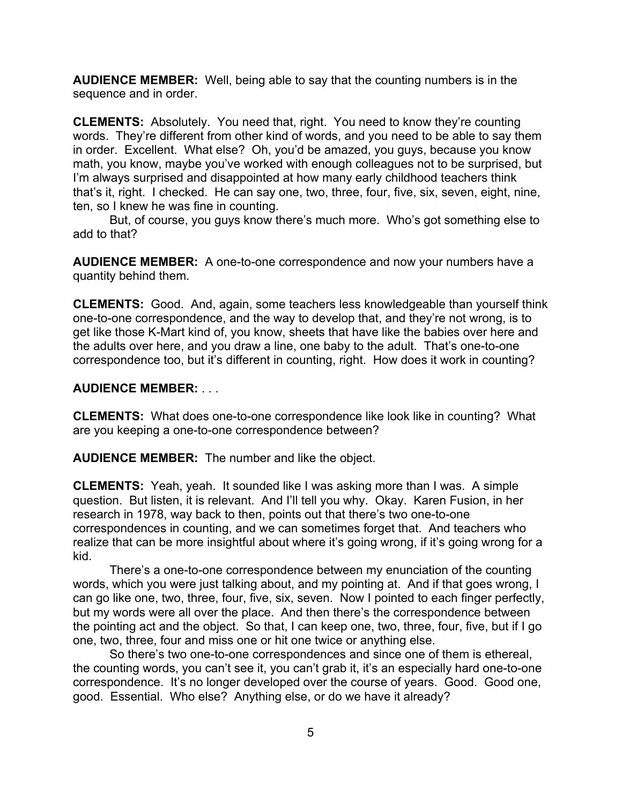**AUDIENCE MEMBER:** Well, being able to say that the counting numbers is in the sequence and in order.

**CLEMENTS:** Absolutely. You need that, right. You need to know they're counting words. They're different from other kind of words, and you need to be able to say them in order. Excellent. What else? Oh, you'd be amazed, you guys, because you know math, you know, maybe you've worked with enough colleagues not to be surprised, but I'm always surprised and disappointed at how many early childhood teachers think that's it, right. I checked. He can say one, two, three, four, five, six, seven, eight, nine, ten, so I knew he was fine in counting.

But, of course, you guys know there's much more. Who's got something else to add to that?

**AUDIENCE MEMBER:** A one-to-one correspondence and now your numbers have a quantity behind them.

**CLEMENTS:** Good.And, again, some teachers less knowledgeable than yourself think one-to-one correspondence, and the way to develop that, and they're not wrong, is to get like those K-Mart kind of, you know, sheets that have like the babies over here and the adults over here, and you draw a line, one baby to the adult. That's one-to-one correspondence too, but it's different in counting, right. How does it work in counting?

## **AUDIENCE MEMBER:** . . .

**CLEMENTS:** What does one-to-one correspondence like look like in counting? What are you keeping a one-to-one correspondence between?

**AUDIENCE MEMBER:** The number and like the object.

**CLEMENTS:** Yeah, yeah. It sounded like I was asking more than I was. A simple question. But listen, it is relevant. And I'll tell you why. Okay. Karen Fusion, in her research in 1978, way back to then, points out that there's two one-to-one correspondences in counting, and we can sometimes forget that. And teachers who realize that can be more insightful about where it's going wrong, if it's going wrong for a kid.

There's a one-to-one correspondence between my enunciation of the counting words, which you were just talking about, and my pointing at. And if that goes wrong, I can go like one, two, three, four, five, six, seven. Now I pointed to each finger perfectly, but my words were all over the place. And then there's the correspondence between the pointing act and the object. So that, I can keep one, two, three, four, five, but if I go one, two, three, four and miss one or hit one twice or anything else.

So there's two one-to-one correspondences and since one of them is ethereal, the counting words, you can't see it, you can't grab it, it's an especially hard one-to-one correspondence. It's no longer developed over the course of years. Good. Good one, good. Essential. Who else? Anything else, or do we have it already?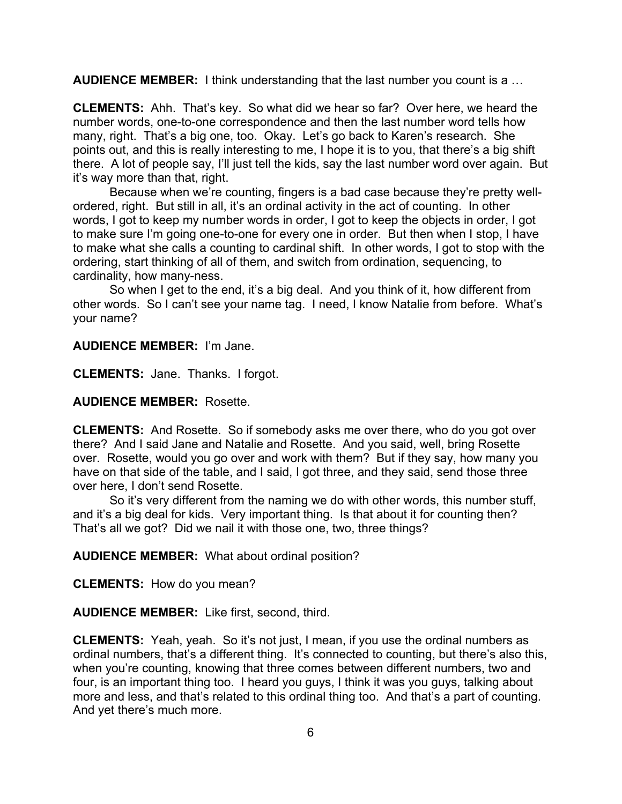**AUDIENCE MEMBER:** I think understanding that the last number you count is a …

**CLEMENTS:** Ahh. That's key. So what did we hear so far? Over here, we heard the number words, one-to-one correspondence and then the last number word tells how many, right. That's a big one, too. Okay. Let's go back to Karen's research. She points out, and this is really interesting to me, I hope it is to you, that there's a big shift there. A lot of people say, I'll just tell the kids, say the last number word over again. But it's way more than that, right.

Because when we're counting, fingers is a bad case because they're pretty wellordered, right. But still in all, it's an ordinal activity in the act of counting. In other words, I got to keep my number words in order, I got to keep the objects in order, I got to make sure I'm going one-to-one for every one in order. But then when I stop, I have to make what she calls a counting to cardinal shift. In other words, I got to stop with the ordering, start thinking of all of them, and switch from ordination, sequencing, to cardinality, how many-ness.

So when I get to the end, it's a big deal. And you think of it, how different from other words. So I can't see your name tag. I need, I know Natalie from before. What's your name?

**AUDIENCE MEMBER:** I'm Jane.

**CLEMENTS:** Jane. Thanks. I forgot.

**AUDIENCE MEMBER:** Rosette.

**CLEMENTS:** And Rosette. So if somebody asks me over there, who do you got over there? And I said Jane and Natalie and Rosette. And you said, well, bring Rosette over. Rosette, would you go over and work with them? But if they say, how many you have on that side of the table, and I said, I got three, and they said, send those three over here, I don't send Rosette.

So it's very different from the naming we do with other words, this number stuff, and it's a big deal for kids. Very important thing. Is that about it for counting then? That's all we got? Did we nail it with those one, two, three things?

**AUDIENCE MEMBER:** What about ordinal position?

**CLEMENTS:** How do you mean?

**AUDIENCE MEMBER:** Like first, second, third.

**CLEMENTS:** Yeah, yeah. So it's not just, I mean, if you use the ordinal numbers as ordinal numbers, that's a different thing. It's connected to counting, but there's also this, when you're counting, knowing that three comes between different numbers, two and four, is an important thing too. I heard you guys, I think it was you guys, talking about more and less, and that's related to this ordinal thing too. And that's a part of counting. And yet there's much more.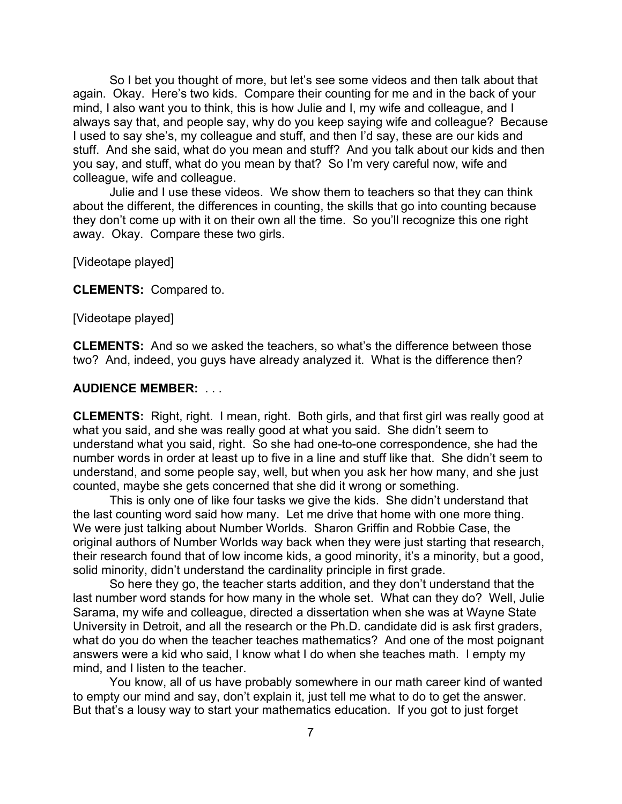So I bet you thought of more, but let's see some videos and then talk about that again. Okay. Here's two kids. Compare their counting for me and in the back of your mind, I also want you to think, this is how Julie and I, my wife and colleague, and I always say that, and people say, why do you keep saying wife and colleague? Because I used to say she's, my colleague and stuff, and then I'd say, these are our kids and stuff. And she said, what do you mean and stuff? And you talk about our kids and then you say, and stuff, what do you mean by that? So I'm very careful now, wife and colleague, wife and colleague.

Julie and I use these videos. We show them to teachers so that they can think about the different, the differences in counting, the skills that go into counting because they don't come up with it on their own all the time. So you'll recognize this one right away. Okay. Compare these two girls.

[Videotape played]

**CLEMENTS:** Compared to.

[Videotape played]

**CLEMENTS:** And so we asked the teachers, so what's the difference between those two? And, indeed, you guys have already analyzed it. What is the difference then?

## **AUDIENCE MEMBER:** . . .

**CLEMENTS:** Right, right. I mean, right. Both girls, and that first girl was really good at what you said, and she was really good at what you said. She didn't seem to understand what you said, right. So she had one-to-one correspondence, she had the number words in order at least up to five in a line and stuff like that. She didn't seem to understand, and some people say, well, but when you ask her how many, and she just counted, maybe she gets concerned that she did it wrong or something.

This is only one of like four tasks we give the kids. She didn't understand that the last counting word said how many. Let me drive that home with one more thing. We were just talking about Number Worlds. Sharon Griffin and Robbie Case, the original authors of Number Worlds way back when they were just starting that research, their research found that of low income kids, a good minority, it's a minority, but a good, solid minority, didn't understand the cardinality principle in first grade.

So here they go, the teacher starts addition, and they don't understand that the last number word stands for how many in the whole set. What can they do? Well, Julie Sarama, my wife and colleague, directed a dissertation when she was at Wayne State University in Detroit, and all the research or the Ph.D. candidate did is ask first graders, what do you do when the teacher teaches mathematics? And one of the most poignant answers were a kid who said, I know what I do when she teaches math. I empty my mind, and I listen to the teacher.

You know, all of us have probably somewhere in our math career kind of wanted to empty our mind and say, don't explain it, just tell me what to do to get the answer. But that's a lousy way to start your mathematics education. If you got to just forget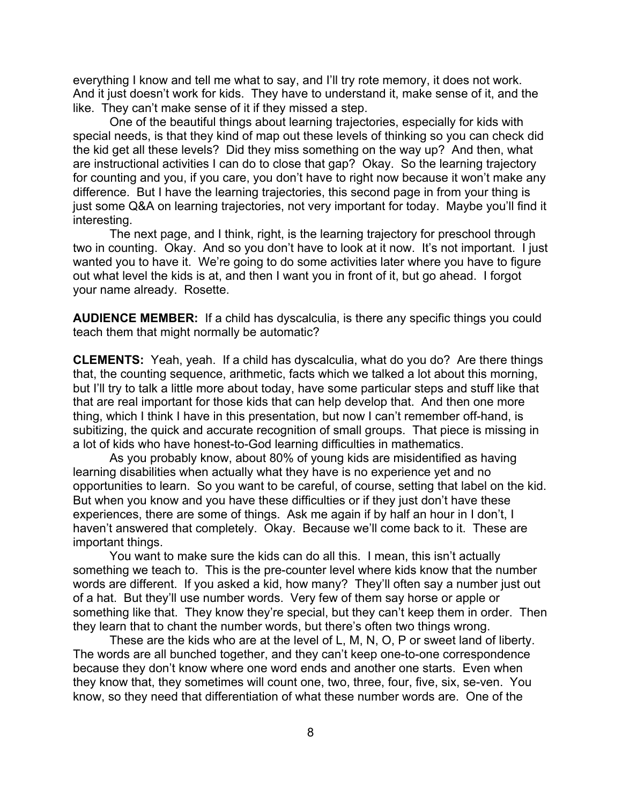everything I know and tell me what to say, and I'll try rote memory, it does not work. And it just doesn't work for kids. They have to understand it, make sense of it, and the like. They can't make sense of it if they missed a step.

One of the beautiful things about learning trajectories, especially for kids with special needs, is that they kind of map out these levels of thinking so you can check did the kid get all these levels? Did they miss something on the way up? And then, what are instructional activities I can do to close that gap? Okay. So the learning trajectory for counting and you, if you care, you don't have to right now because it won't make any difference. But I have the learning trajectories, this second page in from your thing is just some Q&A on learning trajectories, not very important for today. Maybe you'll find it interesting.

The next page, and I think, right, is the learning trajectory for preschool through two in counting. Okay. And so you don't have to look at it now. It's not important. I just wanted you to have it. We're going to do some activities later where you have to figure out what level the kids is at, and then I want you in front of it, but go ahead. I forgot your name already. Rosette.

**AUDIENCE MEMBER:** If a child has dyscalculia, is there any specific things you could teach them that might normally be automatic?

**CLEMENTS:** Yeah, yeah. If a child has dyscalculia, what do you do? Are there things that, the counting sequence, arithmetic, facts which we talked a lot about this morning, but I'll try to talk a little more about today, have some particular steps and stuff like that that are real important for those kids that can help develop that. And then one more thing, which I think I have in this presentation, but now I can't remember off-hand, is subitizing, the quick and accurate recognition of small groups. That piece is missing in a lot of kids who have honest-to-God learning difficulties in mathematics.

As you probably know, about 80% of young kids are misidentified as having learning disabilities when actually what they have is no experience yet and no opportunities to learn. So you want to be careful, of course, setting that label on the kid. But when you know and you have these difficulties or if they just don't have these experiences, there are some of things. Ask me again if by half an hour in I don't, I haven't answered that completely. Okay. Because we'll come back to it. These are important things.

You want to make sure the kids can do all this. I mean, this isn't actually something we teach to. This is the pre-counter level where kids know that the number words are different. If you asked a kid, how many? They'll often say a number just out of a hat. But they'll use number words. Very few of them say horse or apple or something like that. They know they're special, but they can't keep them in order. Then they learn that to chant the number words, but there's often two things wrong.

These are the kids who are at the level of L, M, N, O, P or sweet land of liberty. The words are all bunched together, and they can't keep one-to-one correspondence because they don't know where one word ends and another one starts. Even when they know that, they sometimes will count one, two, three, four, five, six, se-ven. You know, so they need that differentiation of what these number words are. One of the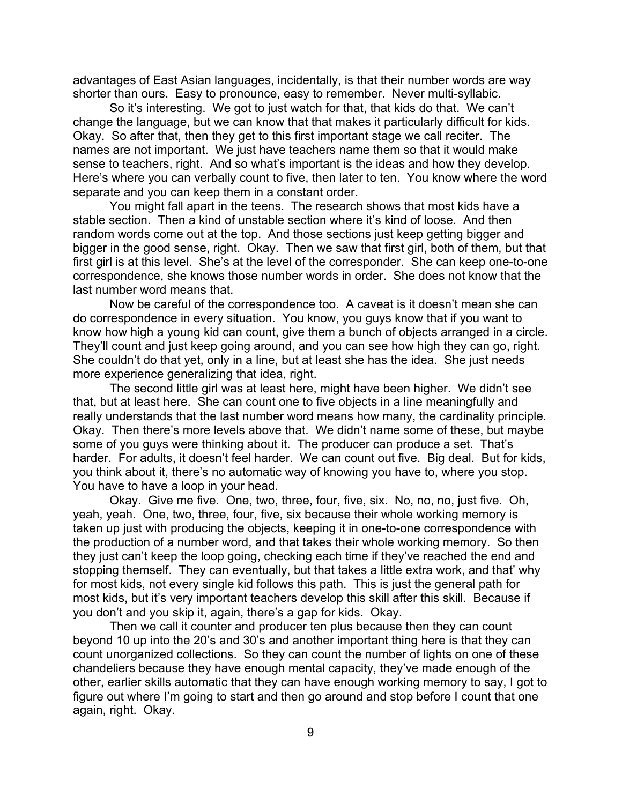advantages of East Asian languages, incidentally, is that their number words are way shorter than ours. Easy to pronounce, easy to remember. Never multi-syllabic.

So it's interesting. We got to just watch for that, that kids do that. We can't change the language, but we can know that that makes it particularly difficult for kids. Okay. So after that, then they get to this first important stage we call reciter. The names are not important. We just have teachers name them so that it would make sense to teachers, right. And so what's important is the ideas and how they develop. Here's where you can verbally count to five, then later to ten. You know where the word separate and you can keep them in a constant order.

You might fall apart in the teens. The research shows that most kids have a stable section. Then a kind of unstable section where it's kind of loose. And then random words come out at the top. And those sections just keep getting bigger and bigger in the good sense, right. Okay. Then we saw that first girl, both of them, but that first girl is at this level. She's at the level of the corresponder. She can keep one-to-one correspondence, she knows those number words in order. She does not know that the last number word means that.

Now be careful of the correspondence too. A caveat is it doesn't mean she can do correspondence in every situation. You know, you guys know that if you want to know how high a young kid can count, give them a bunch of objects arranged in a circle. They'll count and just keep going around, and you can see how high they can go, right. She couldn't do that yet, only in a line, but at least she has the idea. She just needs more experience generalizing that idea, right.

The second little girl was at least here, might have been higher. We didn't see that, but at least here. She can count one to five objects in a line meaningfully and really understands that the last number word means how many, the cardinality principle. Okay. Then there's more levels above that. We didn't name some of these, but maybe some of you guys were thinking about it. The producer can produce a set. That's harder. For adults, it doesn't feel harder. We can count out five. Big deal. But for kids, you think about it, there's no automatic way of knowing you have to, where you stop. You have to have a loop in your head.

Okay. Give me five. One, two, three, four, five, six. No, no, no, just five. Oh, yeah, yeah. One, two, three, four, five, six because their whole working memory is taken up just with producing the objects, keeping it in one-to-one correspondence with the production of a number word, and that takes their whole working memory. So then they just can't keep the loop going, checking each time if they've reached the end and stopping themself. They can eventually, but that takes a little extra work, and that' why for most kids, not every single kid follows this path. This is just the general path for most kids, but it's very important teachers develop this skill after this skill. Because if you don't and you skip it, again, there's a gap for kids. Okay.

Then we call it counter and producer ten plus because then they can count beyond 10 up into the 20's and 30's and another important thing here is that they can count unorganized collections. So they can count the number of lights on one of these chandeliers because they have enough mental capacity, they've made enough of the other, earlier skills automatic that they can have enough working memory to say, I got to figure out where I'm going to start and then go around and stop before I count that one again, right. Okay.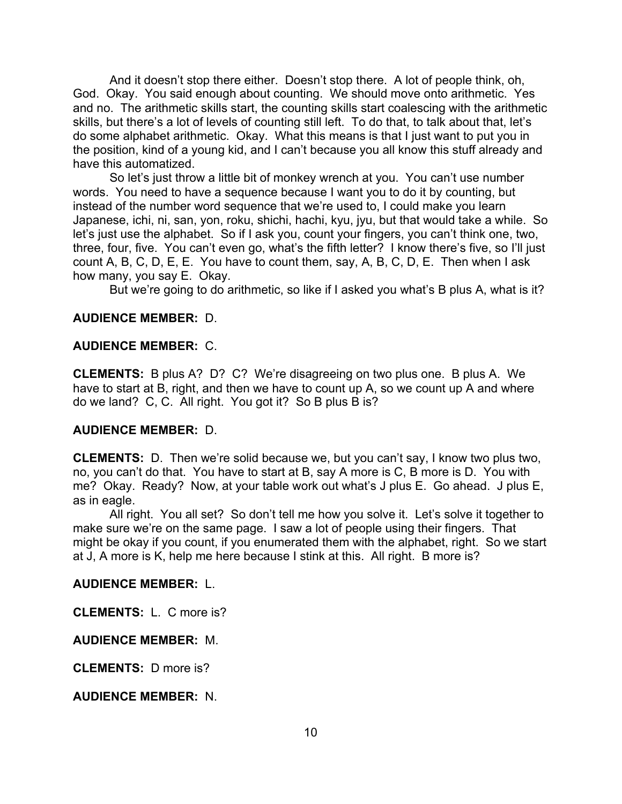And it doesn't stop there either. Doesn't stop there. A lot of people think, oh, God. Okay. You said enough about counting. We should move onto arithmetic. Yes and no. The arithmetic skills start, the counting skills start coalescing with the arithmetic skills, but there's a lot of levels of counting still left. To do that, to talk about that, let's do some alphabet arithmetic. Okay. What this means is that I just want to put you in the position, kind of a young kid, and I can't because you all know this stuff already and have this automatized.

So let's just throw a little bit of monkey wrench at you. You can't use number words. You need to have a sequence because I want you to do it by counting, but instead of the number word sequence that we're used to, I could make you learn Japanese, ichi, ni, san, yon, roku, shichi, hachi, kyu, jyu, but that would take a while. So let's just use the alphabet. So if I ask you, count your fingers, you can't think one, two, three, four, five. You can't even go, what's the fifth letter? I know there's five, so I'll just count A, B, C, D, E, E. You have to count them, say, A, B, C, D, E. Then when I ask how many, you say E. Okay.

But we're going to do arithmetic, so like if I asked you what's B plus A, what is it?

## **AUDIENCE MEMBER:** D.

### **AUDIENCE MEMBER:** C.

**CLEMENTS:** B plus A? D? C? We're disagreeing on two plus one. B plus A. We have to start at B, right, and then we have to count up A, so we count up A and where do we land? C, C. All right. You got it? So B plus B is?

## **AUDIENCE MEMBER:** D.

**CLEMENTS:** D. Then we're solid because we, but you can't say, I know two plus two, no, you can't do that. You have to start at B, say A more is C, B more is D. You with me? Okay. Ready? Now, at your table work out what's J plus E. Go ahead. J plus E, as in eagle.

All right. You all set? So don't tell me how you solve it. Let's solve it together to make sure we're on the same page. I saw a lot of people using their fingers. That might be okay if you count, if you enumerated them with the alphabet, right. So we start at J, A more is K, help me here because I stink at this. All right. B more is?

### **AUDIENCE MEMBER:** L.

**CLEMENTS:** L. C more is?

## **AUDIENCE MEMBER:** M.

**CLEMENTS:** D more is?

**AUDIENCE MEMBER:** N.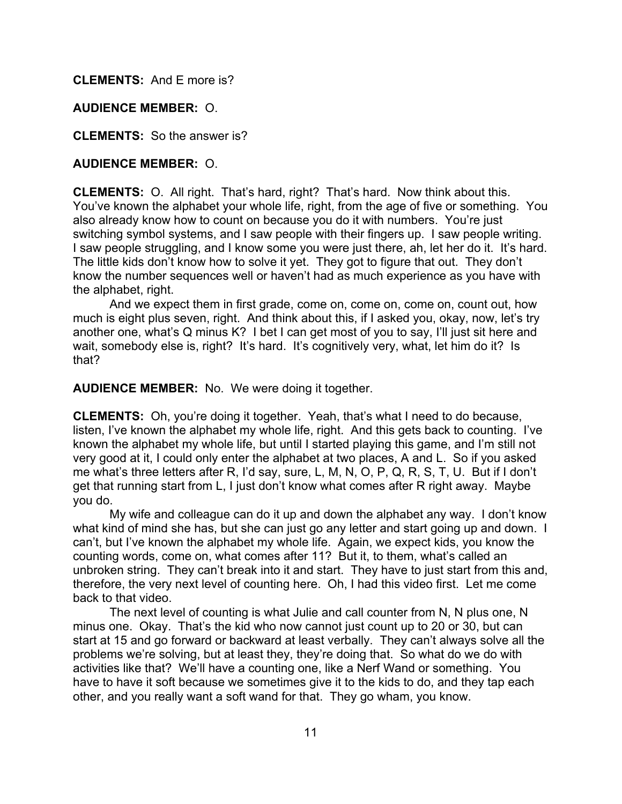**CLEMENTS:** And E more is?

## **AUDIENCE MEMBER:** O.

**CLEMENTS:** So the answer is?

## **AUDIENCE MEMBER:** O.

**CLEMENTS:** O. All right. That's hard, right? That's hard. Now think about this. You've known the alphabet your whole life, right, from the age of five or something. You also already know how to count on because you do it with numbers. You're just switching symbol systems, and I saw people with their fingers up. I saw people writing. I saw people struggling, and I know some you were just there, ah, let her do it. It's hard. The little kids don't know how to solve it yet. They got to figure that out. They don't know the number sequences well or haven't had as much experience as you have with the alphabet, right.

And we expect them in first grade, come on, come on, come on, count out, how much is eight plus seven, right. And think about this, if I asked you, okay, now, let's try another one, what's Q minus K? I bet I can get most of you to say, I'll just sit here and wait, somebody else is, right? It's hard. It's cognitively very, what, let him do it? Is that?

**AUDIENCE MEMBER:** No. We were doing it together.

**CLEMENTS:** Oh, you're doing it together. Yeah, that's what I need to do because, listen, I've known the alphabet my whole life, right. And this gets back to counting. I've known the alphabet my whole life, but until I started playing this game, and I'm still not very good at it, I could only enter the alphabet at two places, A and L. So if you asked me what's three letters after R, I'd say, sure, L, M, N, O, P, Q, R, S, T, U. But if I don't get that running start from L, I just don't know what comes after R right away. Maybe you do.

My wife and colleague can do it up and down the alphabet any way. I don't know what kind of mind she has, but she can just go any letter and start going up and down. I can't, but I've known the alphabet my whole life. Again, we expect kids, you know the counting words, come on, what comes after 11? But it, to them, what's called an unbroken string. They can't break into it and start. They have to just start from this and, therefore, the very next level of counting here. Oh, I had this video first. Let me come back to that video.

The next level of counting is what Julie and call counter from N, N plus one, N minus one. Okay. That's the kid who now cannot just count up to 20 or 30, but can start at 15 and go forward or backward at least verbally. They can't always solve all the problems we're solving, but at least they, they're doing that. So what do we do with activities like that? We'll have a counting one, like a Nerf Wand or something. You have to have it soft because we sometimes give it to the kids to do, and they tap each other, and you really want a soft wand for that. They go wham, you know.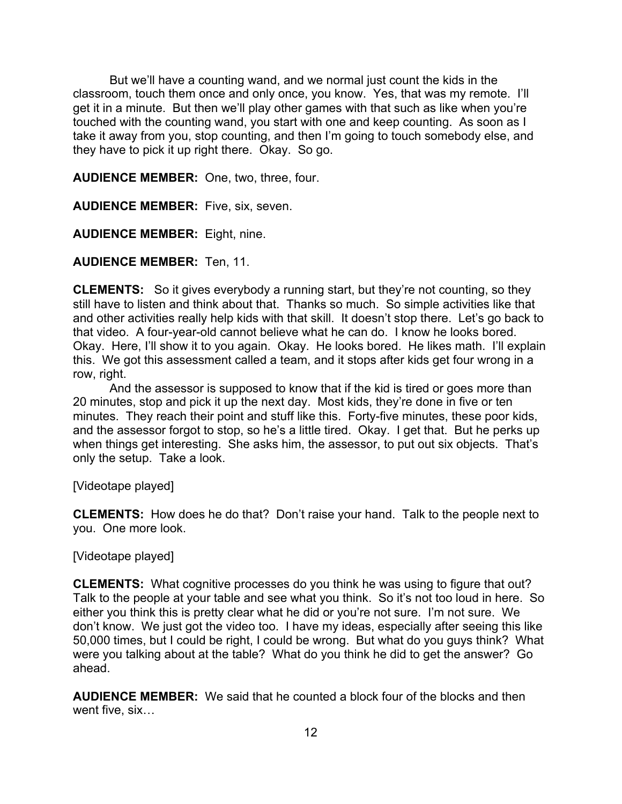But we'll have a counting wand, and we normal just count the kids in the classroom, touch them once and only once, you know. Yes, that was my remote. I'll get it in a minute. But then we'll play other games with that such as like when you're touched with the counting wand, you start with one and keep counting. As soon as I take it away from you, stop counting, and then I'm going to touch somebody else, and they have to pick it up right there. Okay. So go.

**AUDIENCE MEMBER:** One, two, three, four.

**AUDIENCE MEMBER:** Five, six, seven.

**AUDIENCE MEMBER:** Eight, nine.

**AUDIENCE MEMBER:** Ten, 11.

**CLEMENTS:** So it gives everybody a running start, but they're not counting, so they still have to listen and think about that. Thanks so much. So simple activities like that and other activities really help kids with that skill. It doesn't stop there. Let's go back to that video. A four-year-old cannot believe what he can do. I know he looks bored. Okay. Here, I'll show it to you again. Okay. He looks bored. He likes math. I'll explain this. We got this assessment called a team, and it stops after kids get four wrong in a row, right.

And the assessor is supposed to know that if the kid is tired or goes more than 20 minutes, stop and pick it up the next day. Most kids, they're done in five or ten minutes. They reach their point and stuff like this. Forty-five minutes, these poor kids, and the assessor forgot to stop, so he's a little tired. Okay. I get that. But he perks up when things get interesting. She asks him, the assessor, to put out six objects. That's only the setup. Take a look.

[Videotape played]

**CLEMENTS:** How does he do that? Don't raise your hand. Talk to the people next to you. One more look.

[Videotape played]

**CLEMENTS:** What cognitive processes do you think he was using to figure that out? Talk to the people at your table and see what you think. So it's not too loud in here. So either you think this is pretty clear what he did or you're not sure. I'm not sure. We don't know. We just got the video too. I have my ideas, especially after seeing this like 50,000 times, but I could be right, I could be wrong. But what do you guys think? What were you talking about at the table? What do you think he did to get the answer? Go ahead.

**AUDIENCE MEMBER:** We said that he counted a block four of the blocks and then went five, six…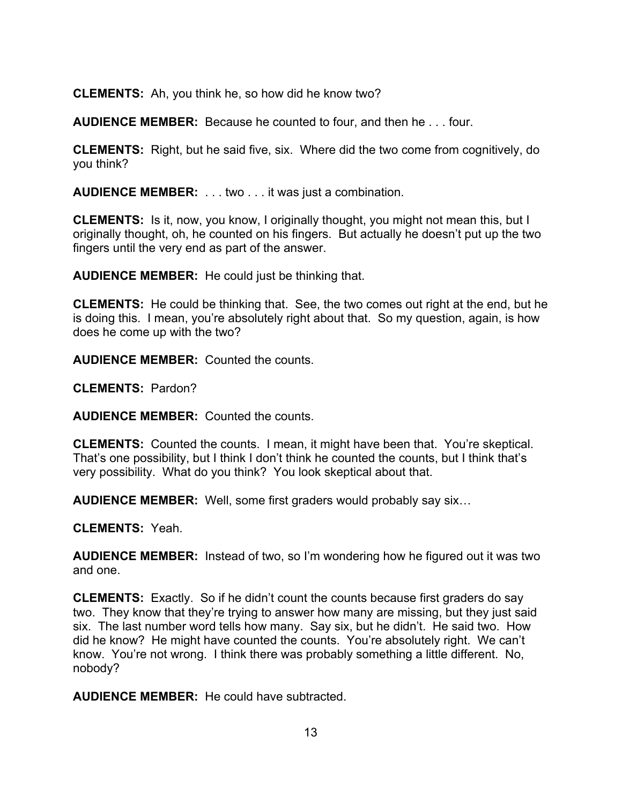**CLEMENTS:** Ah, you think he, so how did he know two?

**AUDIENCE MEMBER:** Because he counted to four, and then he . . . four.

**CLEMENTS:** Right, but he said five, six. Where did the two come from cognitively, do you think?

**AUDIENCE MEMBER:** . . . two . . . it was just a combination.

**CLEMENTS:** Is it, now, you know, I originally thought, you might not mean this, but I originally thought, oh, he counted on his fingers. But actually he doesn't put up the two fingers until the very end as part of the answer.

**AUDIENCE MEMBER:** He could just be thinking that.

**CLEMENTS:** He could be thinking that. See, the two comes out right at the end, but he is doing this. I mean, you're absolutely right about that. So my question, again, is how does he come up with the two?

**AUDIENCE MEMBER:** Counted the counts.

**CLEMENTS:** Pardon?

**AUDIENCE MEMBER:** Counted the counts.

**CLEMENTS:** Counted the counts. I mean, it might have been that. You're skeptical. That's one possibility, but I think I don't think he counted the counts, but I think that's very possibility. What do you think? You look skeptical about that.

**AUDIENCE MEMBER:** Well, some first graders would probably say six…

**CLEMENTS:** Yeah.

**AUDIENCE MEMBER:** Instead of two, so I'm wondering how he figured out it was two and one.

**CLEMENTS:** Exactly. So if he didn't count the counts because first graders do say two. They know that they're trying to answer how many are missing, but they just said six. The last number word tells how many. Say six, but he didn't. He said two. How did he know? He might have counted the counts. You're absolutely right. We can't know. You're not wrong. I think there was probably something a little different. No, nobody?

**AUDIENCE MEMBER:** He could have subtracted.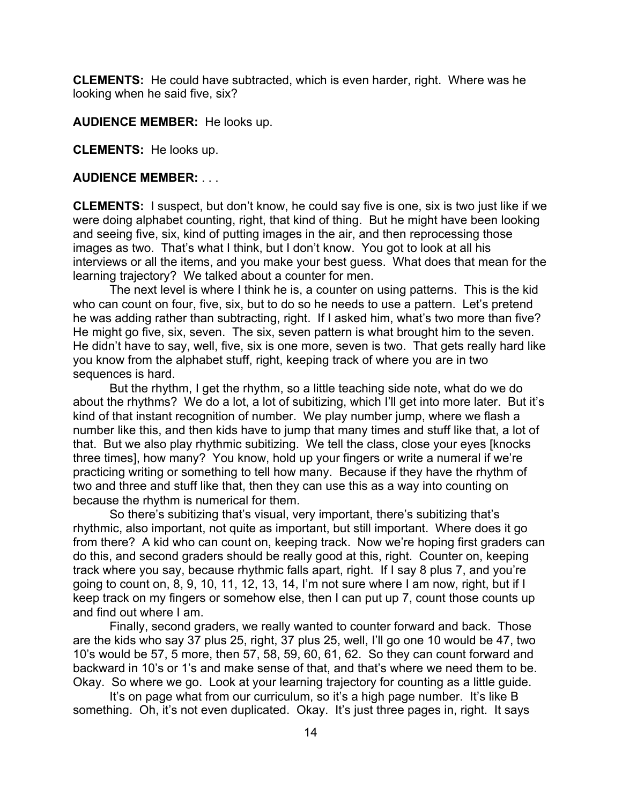**CLEMENTS:** He could have subtracted, which is even harder, right. Where was he looking when he said five, six?

**AUDIENCE MEMBER:** He looks up.

**CLEMENTS:** He looks up.

#### **AUDIENCE MEMBER:** . . .

**CLEMENTS:** I suspect, but don't know, he could say five is one, six is two just like if we were doing alphabet counting, right, that kind of thing. But he might have been looking and seeing five, six, kind of putting images in the air, and then reprocessing those images as two. That's what I think, but I don't know. You got to look at all his interviews or all the items, and you make your best guess. What does that mean for the learning trajectory? We talked about a counter for men.

The next level is where I think he is, a counter on using patterns. This is the kid who can count on four, five, six, but to do so he needs to use a pattern. Let's pretend he was adding rather than subtracting, right. If I asked him, what's two more than five? He might go five, six, seven. The six, seven pattern is what brought him to the seven. He didn't have to say, well, five, six is one more, seven is two. That gets really hard like you know from the alphabet stuff, right, keeping track of where you are in two sequences is hard.

But the rhythm, I get the rhythm, so a little teaching side note, what do we do about the rhythms? We do a lot, a lot of subitizing, which I'll get into more later. But it's kind of that instant recognition of number. We play number jump, where we flash a number like this, and then kids have to jump that many times and stuff like that, a lot of that. But we also play rhythmic subitizing. We tell the class, close your eyes [knocks three times], how many? You know, hold up your fingers or write a numeral if we're practicing writing or something to tell how many. Because if they have the rhythm of two and three and stuff like that, then they can use this as a way into counting on because the rhythm is numerical for them.

So there's subitizing that's visual, very important, there's subitizing that's rhythmic, also important, not quite as important, but still important. Where does it go from there? A kid who can count on, keeping track. Now we're hoping first graders can do this, and second graders should be really good at this, right. Counter on, keeping track where you say, because rhythmic falls apart, right. If I say 8 plus 7, and you're going to count on, 8, 9, 10, 11, 12, 13, 14, I'm not sure where I am now, right, but if I keep track on my fingers or somehow else, then I can put up 7, count those counts up and find out where I am.

Finally, second graders, we really wanted to counter forward and back. Those are the kids who say 37 plus 25, right, 37 plus 25, well, I'll go one 10 would be 47, two 10's would be 57, 5 more, then 57, 58, 59, 60, 61, 62. So they can count forward and backward in 10's or 1's and make sense of that, and that's where we need them to be. Okay. So where we go. Look at your learning trajectory for counting as a little guide.

It's on page what from our curriculum, so it's a high page number. It's like B something. Oh, it's not even duplicated. Okay. It's just three pages in, right. It says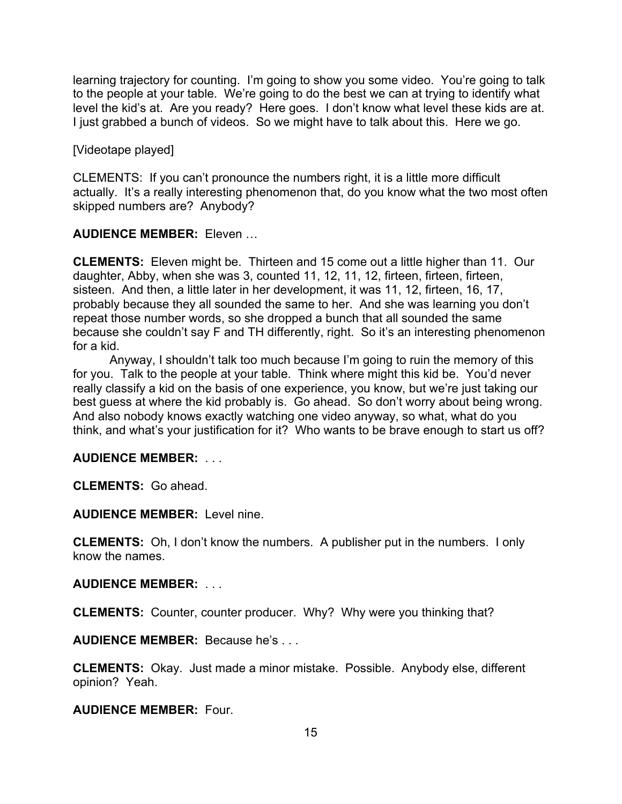learning trajectory for counting. I'm going to show you some video. You're going to talk to the people at your table. We're going to do the best we can at trying to identify what level the kid's at. Are you ready? Here goes. I don't know what level these kids are at. I just grabbed a bunch of videos. So we might have to talk about this. Here we go.

[Videotape played]

CLEMENTS: If you can't pronounce the numbers right, it is a little more difficult actually. It's a really interesting phenomenon that, do you know what the two most often skipped numbers are? Anybody?

**AUDIENCE MEMBER:** Eleven …

**CLEMENTS:** Eleven might be. Thirteen and 15 come out a little higher than 11. Our daughter, Abby, when she was 3, counted 11, 12, 11, 12, firteen, firteen, firteen, sisteen. And then, a little later in her development, it was 11, 12, firteen, 16, 17, probably because they all sounded the same to her. And she was learning you don't repeat those number words, so she dropped a bunch that all sounded the same because she couldn't say F and TH differently, right. So it's an interesting phenomenon for a kid.

Anyway, I shouldn't talk too much because I'm going to ruin the memory of this for you. Talk to the people at your table. Think where might this kid be. You'd never really classify a kid on the basis of one experience, you know, but we're just taking our best guess at where the kid probably is. Go ahead. So don't worry about being wrong. And also nobody knows exactly watching one video anyway, so what, what do you think, and what's your justification for it? Who wants to be brave enough to start us off?

# **AUDIENCE MEMBER:** . . .

**CLEMENTS:** Go ahead.

**AUDIENCE MEMBER:** Level nine.

**CLEMENTS:** Oh, I don't know the numbers. A publisher put in the numbers. I only know the names.

**AUDIENCE MEMBER:** . . .

**CLEMENTS:** Counter, counter producer. Why? Why were you thinking that?

**AUDIENCE MEMBER:** Because he's . . .

**CLEMENTS:** Okay. Just made a minor mistake. Possible. Anybody else, different opinion? Yeah.

**AUDIENCE MEMBER:** Four.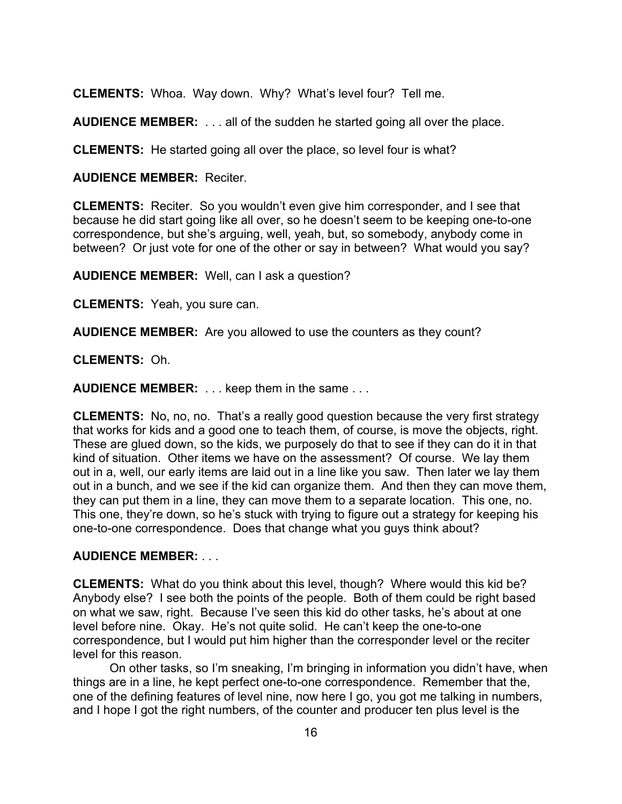**CLEMENTS:** Whoa. Way down. Why? What's level four? Tell me.

**AUDIENCE MEMBER:** . . . all of the sudden he started going all over the place.

**CLEMENTS:** He started going all over the place, so level four is what?

### **AUDIENCE MEMBER:** Reciter.

**CLEMENTS:** Reciter. So you wouldn't even give him corresponder, and I see that because he did start going like all over, so he doesn't seem to be keeping one-to-one correspondence, but she's arguing, well, yeah, but, so somebody, anybody come in between? Or just vote for one of the other or say in between? What would you say?

**AUDIENCE MEMBER:** Well, can I ask a question?

**CLEMENTS:** Yeah, you sure can.

**AUDIENCE MEMBER:** Are you allowed to use the counters as they count?

**CLEMENTS:** Oh.

**AUDIENCE MEMBER:** . . . keep them in the same . . .

**CLEMENTS:** No, no, no. That's a really good question because the very first strategy that works for kids and a good one to teach them, of course, is move the objects, right. These are glued down, so the kids, we purposely do that to see if they can do it in that kind of situation. Other items we have on the assessment? Of course. We lay them out in a, well, our early items are laid out in a line like you saw. Then later we lay them out in a bunch, and we see if the kid can organize them. And then they can move them, they can put them in a line, they can move them to a separate location. This one, no. This one, they're down, so he's stuck with trying to figure out a strategy for keeping his one-to-one correspondence. Does that change what you guys think about?

## **AUDIENCE MEMBER:** . . .

**CLEMENTS:** What do you think about this level, though? Where would this kid be? Anybody else? I see both the points of the people. Both of them could be right based on what we saw, right. Because I've seen this kid do other tasks, he's about at one level before nine. Okay. He's not quite solid. He can't keep the one-to-one correspondence, but I would put him higher than the corresponder level or the reciter level for this reason.

On other tasks, so I'm sneaking, I'm bringing in information you didn't have, when things are in a line, he kept perfect one-to-one correspondence. Remember that the, one of the defining features of level nine, now here I go, you got me talking in numbers, and I hope I got the right numbers, of the counter and producer ten plus level is the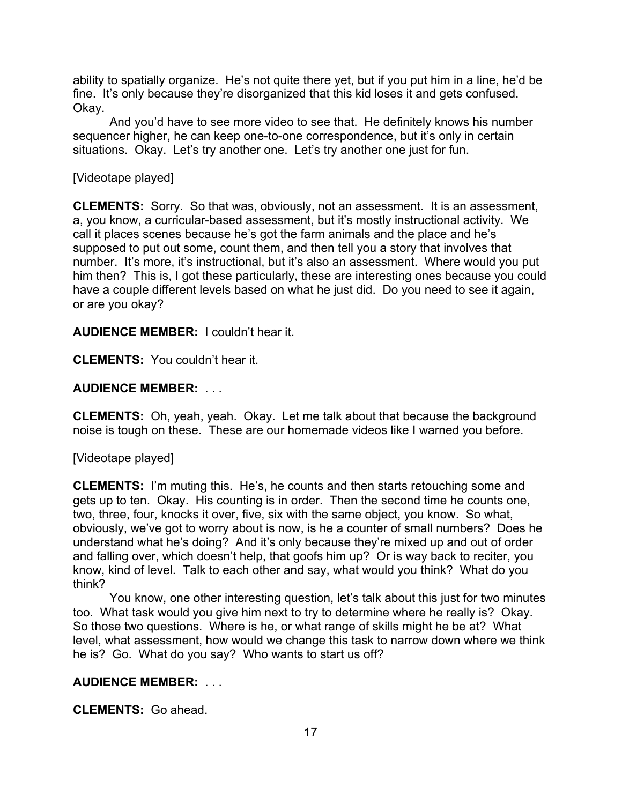ability to spatially organize. He's not quite there yet, but if you put him in a line, he'd be fine. It's only because they're disorganized that this kid loses it and gets confused. Okay.

And you'd have to see more video to see that. He definitely knows his number sequencer higher, he can keep one-to-one correspondence, but it's only in certain situations. Okay. Let's try another one. Let's try another one just for fun.

## [Videotape played]

**CLEMENTS:** Sorry. So that was, obviously, not an assessment. It is an assessment, a, you know, a curricular-based assessment, but it's mostly instructional activity. We call it places scenes because he's got the farm animals and the place and he's supposed to put out some, count them, and then tell you a story that involves that number. It's more, it's instructional, but it's also an assessment. Where would you put him then? This is, I got these particularly, these are interesting ones because you could have a couple different levels based on what he just did. Do you need to see it again, or are you okay?

## **AUDIENCE MEMBER:** I couldn't hear it.

**CLEMENTS:** You couldn't hear it.

## **AUDIENCE MEMBER:** . . .

**CLEMENTS:** Oh, yeah, yeah. Okay. Let me talk about that because the background noise is tough on these. These are our homemade videos like I warned you before.

## [Videotape played]

**CLEMENTS:** I'm muting this. He's, he counts and then starts retouching some and gets up to ten. Okay. His counting is in order. Then the second time he counts one, two, three, four, knocks it over, five, six with the same object, you know. So what, obviously, we've got to worry about is now, is he a counter of small numbers? Does he understand what he's doing? And it's only because they're mixed up and out of order and falling over, which doesn't help, that goofs him up? Or is way back to reciter, you know, kind of level. Talk to each other and say, what would you think? What do you think?

You know, one other interesting question, let's talk about this just for two minutes too. What task would you give him next to try to determine where he really is? Okay. So those two questions. Where is he, or what range of skills might he be at? What level, what assessment, how would we change this task to narrow down where we think he is? Go. What do you say? Who wants to start us off?

# **AUDIENCE MEMBER:** . . .

**CLEMENTS:** Go ahead.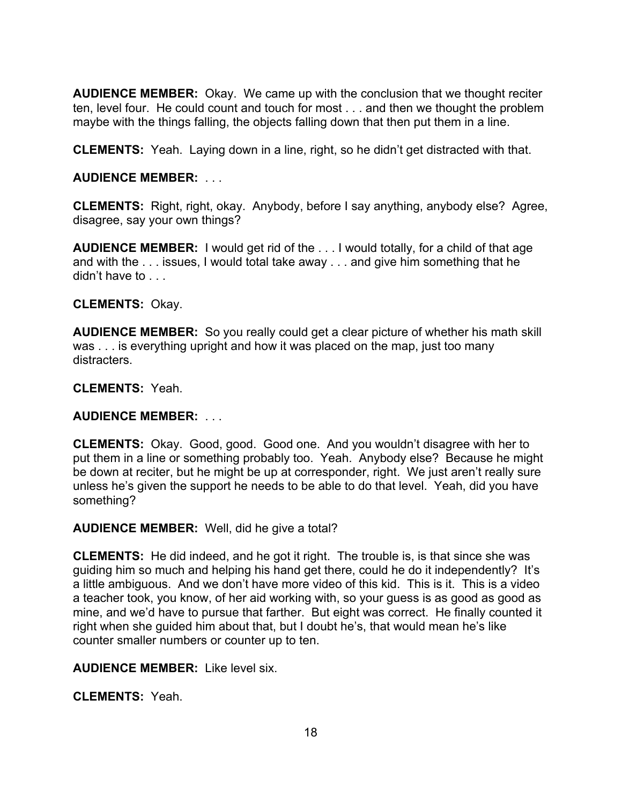**AUDIENCE MEMBER:** Okay. We came up with the conclusion that we thought reciter ten, level four. He could count and touch for most . . . and then we thought the problem maybe with the things falling, the objects falling down that then put them in a line.

**CLEMENTS:** Yeah. Laying down in a line, right, so he didn't get distracted with that.

# **AUDIENCE MEMBER:** . . .

**CLEMENTS:** Right, right, okay. Anybody, before I say anything, anybody else? Agree, disagree, say your own things?

**AUDIENCE MEMBER:** I would get rid of the . . . I would totally, for a child of that age and with the . . . issues, I would total take away . . . and give him something that he didn't have to ...

# **CLEMENTS:** Okay.

**AUDIENCE MEMBER:** So you really could get a clear picture of whether his math skill was . . . is everything upright and how it was placed on the map, just too many distracters.

## **CLEMENTS:** Yeah.

# **AUDIENCE MEMBER:** . . .

**CLEMENTS:** Okay. Good, good. Good one. And you wouldn't disagree with her to put them in a line or something probably too. Yeah. Anybody else? Because he might be down at reciter, but he might be up at corresponder, right. We just aren't really sure unless he's given the support he needs to be able to do that level. Yeah, did you have something?

## **AUDIENCE MEMBER:** Well, did he give a total?

**CLEMENTS:** He did indeed, and he got it right. The trouble is, is that since she was guiding him so much and helping his hand get there, could he do it independently? It's a little ambiguous. And we don't have more video of this kid. This is it. This is a video a teacher took, you know, of her aid working with, so your guess is as good as good as mine, and we'd have to pursue that farther. But eight was correct. He finally counted it right when she guided him about that, but I doubt he's, that would mean he's like counter smaller numbers or counter up to ten.

## **AUDIENCE MEMBER:** Like level six.

**CLEMENTS:** Yeah.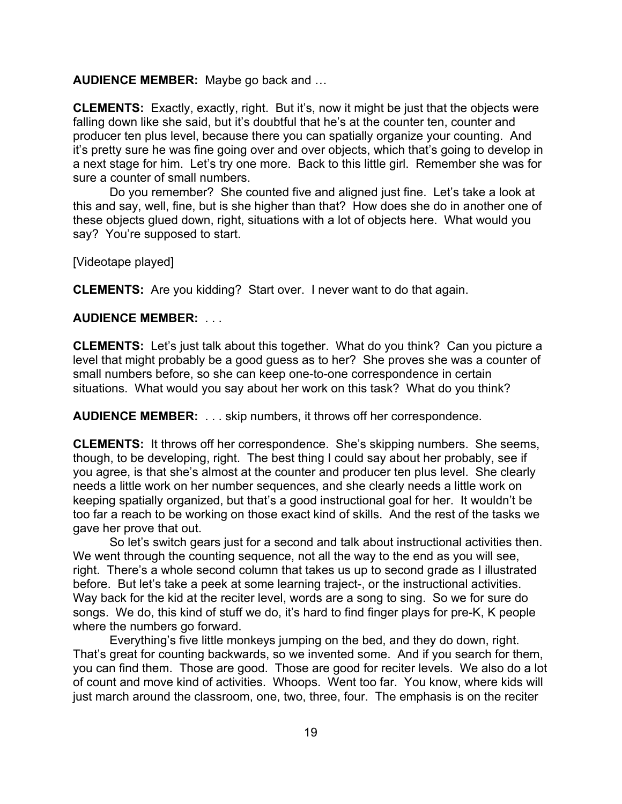### **AUDIENCE MEMBER:** Maybe go back and …

**CLEMENTS:** Exactly, exactly, right. But it's, now it might be just that the objects were falling down like she said, but it's doubtful that he's at the counter ten, counter and producer ten plus level, because there you can spatially organize your counting. And it's pretty sure he was fine going over and over objects, which that's going to develop in a next stage for him. Let's try one more. Back to this little girl. Remember she was for sure a counter of small numbers.

Do you remember? She counted five and aligned just fine. Let's take a look at this and say, well, fine, but is she higher than that? How does she do in another one of these objects glued down, right, situations with a lot of objects here. What would you say? You're supposed to start.

[Videotape played]

**CLEMENTS:** Are you kidding? Start over. I never want to do that again.

## **AUDIENCE MEMBER:** . . .

**CLEMENTS:** Let's just talk about this together. What do you think? Can you picture a level that might probably be a good guess as to her? She proves she was a counter of small numbers before, so she can keep one-to-one correspondence in certain situations. What would you say about her work on this task? What do you think?

**AUDIENCE MEMBER:** . . . skip numbers, it throws off her correspondence.

**CLEMENTS:** It throws off her correspondence. She's skipping numbers. She seems, though, to be developing, right. The best thing I could say about her probably, see if you agree, is that she's almost at the counter and producer ten plus level. She clearly needs a little work on her number sequences, and she clearly needs a little work on keeping spatially organized, but that's a good instructional goal for her. It wouldn't be too far a reach to be working on those exact kind of skills. And the rest of the tasks we gave her prove that out.

So let's switch gears just for a second and talk about instructional activities then. We went through the counting sequence, not all the way to the end as you will see, right. There's a whole second column that takes us up to second grade as I illustrated before. But let's take a peek at some learning traject-, or the instructional activities. Way back for the kid at the reciter level, words are a song to sing. So we for sure do songs. We do, this kind of stuff we do, it's hard to find finger plays for pre-K, K people where the numbers go forward.

Everything's five little monkeys jumping on the bed, and they do down, right. That's great for counting backwards, so we invented some. And if you search for them, you can find them. Those are good. Those are good for reciter levels. We also do a lot of count and move kind of activities. Whoops. Went too far. You know, where kids will just march around the classroom, one, two, three, four. The emphasis is on the reciter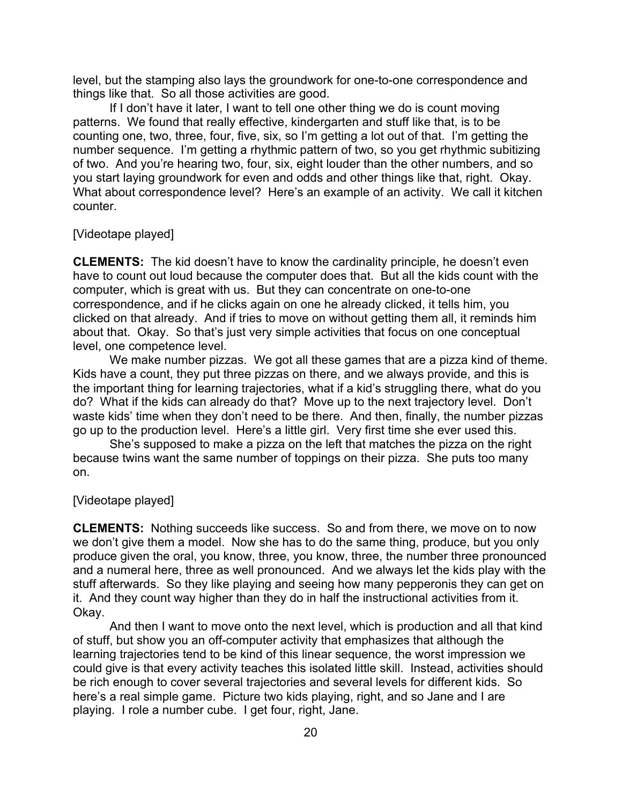level, but the stamping also lays the groundwork for one-to-one correspondence and things like that. So all those activities are good.

If I don't have it later, I want to tell one other thing we do is count moving patterns. We found that really effective, kindergarten and stuff like that, is to be counting one, two, three, four, five, six, so I'm getting a lot out of that. I'm getting the number sequence. I'm getting a rhythmic pattern of two, so you get rhythmic subitizing of two. And you're hearing two, four, six, eight louder than the other numbers, and so you start laying groundwork for even and odds and other things like that, right. Okay. What about correspondence level? Here's an example of an activity. We call it kitchen counter.

## [Videotape played]

**CLEMENTS:** The kid doesn't have to know the cardinality principle, he doesn't even have to count out loud because the computer does that. But all the kids count with the computer, which is great with us. But they can concentrate on one-to-one correspondence, and if he clicks again on one he already clicked, it tells him, you clicked on that already. And if tries to move on without getting them all, it reminds him about that. Okay. So that's just very simple activities that focus on one conceptual level, one competence level.

We make number pizzas. We got all these games that are a pizza kind of theme. Kids have a count, they put three pizzas on there, and we always provide, and this is the important thing for learning trajectories, what if a kid's struggling there, what do you do? What if the kids can already do that? Move up to the next trajectory level. Don't waste kids' time when they don't need to be there. And then, finally, the number pizzas go up to the production level. Here's a little girl. Very first time she ever used this.

She's supposed to make a pizza on the left that matches the pizza on the right because twins want the same number of toppings on their pizza. She puts too many on.

#### [Videotape played]

**CLEMENTS:** Nothing succeeds like success. So and from there, we move on to now we don't give them a model. Now she has to do the same thing, produce, but you only produce given the oral, you know, three, you know, three, the number three pronounced and a numeral here, three as well pronounced. And we always let the kids play with the stuff afterwards. So they like playing and seeing how many pepperonis they can get on it. And they count way higher than they do in half the instructional activities from it. Okay.

And then I want to move onto the next level, which is production and all that kind of stuff, but show you an off-computer activity that emphasizes that although the learning trajectories tend to be kind of this linear sequence, the worst impression we could give is that every activity teaches this isolated little skill. Instead, activities should be rich enough to cover several trajectories and several levels for different kids. So here's a real simple game. Picture two kids playing, right, and so Jane and I are playing. I role a number cube. I get four, right, Jane.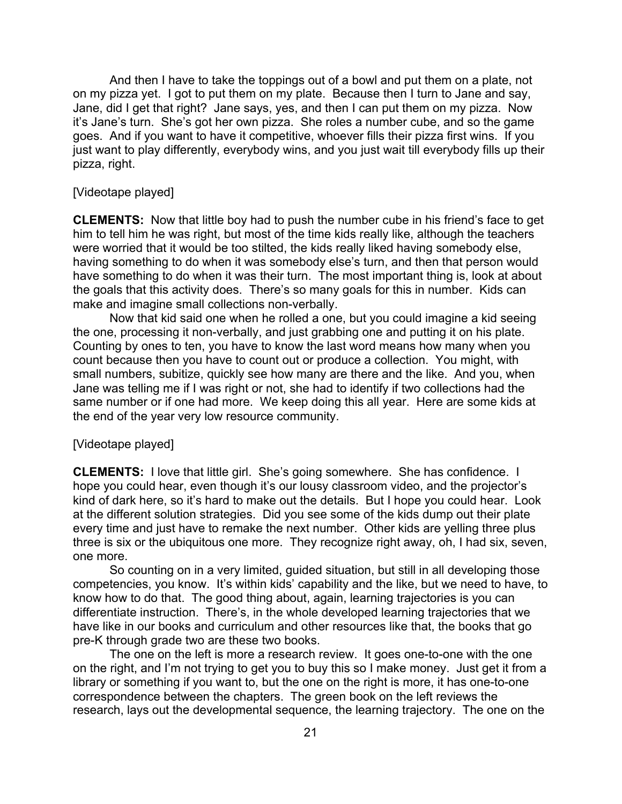And then I have to take the toppings out of a bowl and put them on a plate, not on my pizza yet. I got to put them on my plate. Because then I turn to Jane and say, Jane, did I get that right? Jane says, yes, and then I can put them on my pizza. Now it's Jane's turn. She's got her own pizza. She roles a number cube, and so the game goes. And if you want to have it competitive, whoever fills their pizza first wins. If you just want to play differently, everybody wins, and you just wait till everybody fills up their pizza, right.

### [Videotape played]

**CLEMENTS:** Now that little boy had to push the number cube in his friend's face to get him to tell him he was right, but most of the time kids really like, although the teachers were worried that it would be too stilted, the kids really liked having somebody else, having something to do when it was somebody else's turn, and then that person would have something to do when it was their turn. The most important thing is, look at about the goals that this activity does. There's so many goals for this in number. Kids can make and imagine small collections non-verbally.

Now that kid said one when he rolled a one, but you could imagine a kid seeing the one, processing it non-verbally, and just grabbing one and putting it on his plate. Counting by ones to ten, you have to know the last word means how many when you count because then you have to count out or produce a collection. You might, with small numbers, subitize, quickly see how many are there and the like. And you, when Jane was telling me if I was right or not, she had to identify if two collections had the same number or if one had more. We keep doing this all year. Here are some kids at the end of the year very low resource community.

### [Videotape played]

**CLEMENTS:** I love that little girl. She's going somewhere. She has confidence. I hope you could hear, even though it's our lousy classroom video, and the projector's kind of dark here, so it's hard to make out the details. But I hope you could hear. Look at the different solution strategies. Did you see some of the kids dump out their plate every time and just have to remake the next number. Other kids are yelling three plus three is six or the ubiquitous one more. They recognize right away, oh, I had six, seven, one more.

So counting on in a very limited, guided situation, but still in all developing those competencies, you know. It's within kids' capability and the like, but we need to have, to know how to do that. The good thing about, again, learning trajectories is you can differentiate instruction. There's, in the whole developed learning trajectories that we have like in our books and curriculum and other resources like that, the books that go pre-K through grade two are these two books.

The one on the left is more a research review. It goes one-to-one with the one on the right, and I'm not trying to get you to buy this so I make money. Just get it from a library or something if you want to, but the one on the right is more, it has one-to-one correspondence between the chapters. The green book on the left reviews the research, lays out the developmental sequence, the learning trajectory. The one on the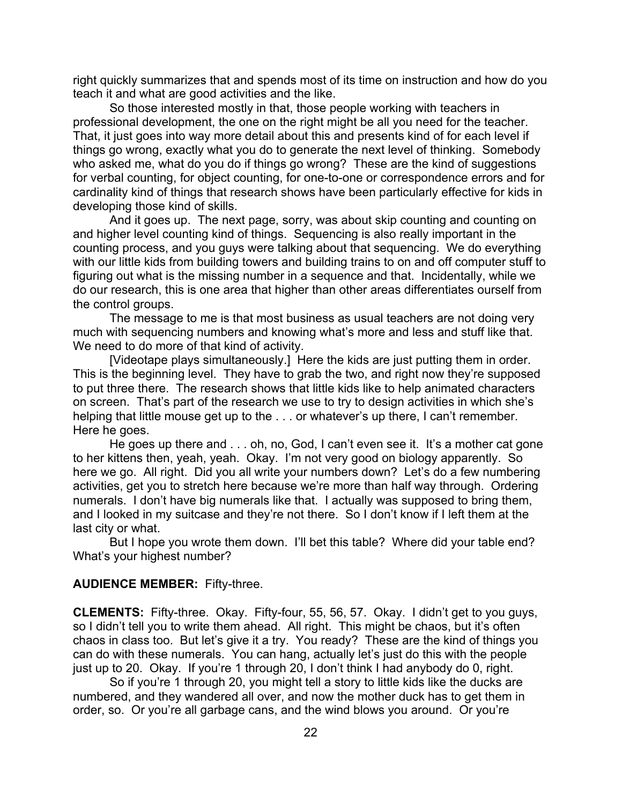right quickly summarizes that and spends most of its time on instruction and how do you teach it and what are good activities and the like.

So those interested mostly in that, those people working with teachers in professional development, the one on the right might be all you need for the teacher. That, it just goes into way more detail about this and presents kind of for each level if things go wrong, exactly what you do to generate the next level of thinking. Somebody who asked me, what do you do if things go wrong? These are the kind of suggestions for verbal counting, for object counting, for one-to-one or correspondence errors and for cardinality kind of things that research shows have been particularly effective for kids in developing those kind of skills.

And it goes up. The next page, sorry, was about skip counting and counting on and higher level counting kind of things. Sequencing is also really important in the counting process, and you guys were talking about that sequencing. We do everything with our little kids from building towers and building trains to on and off computer stuff to figuring out what is the missing number in a sequence and that. Incidentally, while we do our research, this is one area that higher than other areas differentiates ourself from the control groups.

The message to me is that most business as usual teachers are not doing very much with sequencing numbers and knowing what's more and less and stuff like that. We need to do more of that kind of activity.

[Videotape plays simultaneously.] Here the kids are just putting them in order. This is the beginning level. They have to grab the two, and right now they're supposed to put three there. The research shows that little kids like to help animated characters on screen. That's part of the research we use to try to design activities in which she's helping that little mouse get up to the . . . or whatever's up there, I can't remember. Here he goes.

He goes up there and . . . oh, no, God, I can't even see it. It's a mother cat gone to her kittens then, yeah, yeah. Okay. I'm not very good on biology apparently. So here we go. All right. Did you all write your numbers down? Let's do a few numbering activities, get you to stretch here because we're more than half way through. Ordering numerals. I don't have big numerals like that. I actually was supposed to bring them, and I looked in my suitcase and they're not there. So I don't know if I left them at the last city or what.

But I hope you wrote them down. I'll bet this table? Where did your table end? What's your highest number?

#### **AUDIENCE MEMBER:** Fifty-three.

**CLEMENTS:** Fifty-three. Okay. Fifty-four, 55, 56, 57. Okay. I didn't get to you guys, so I didn't tell you to write them ahead. All right. This might be chaos, but it's often chaos in class too. But let's give it a try. You ready? These are the kind of things you can do with these numerals. You can hang, actually let's just do this with the people just up to 20. Okay. If you're 1 through 20, I don't think I had anybody do 0, right.

So if you're 1 through 20, you might tell a story to little kids like the ducks are numbered, and they wandered all over, and now the mother duck has to get them in order, so. Or you're all garbage cans, and the wind blows you around. Or you're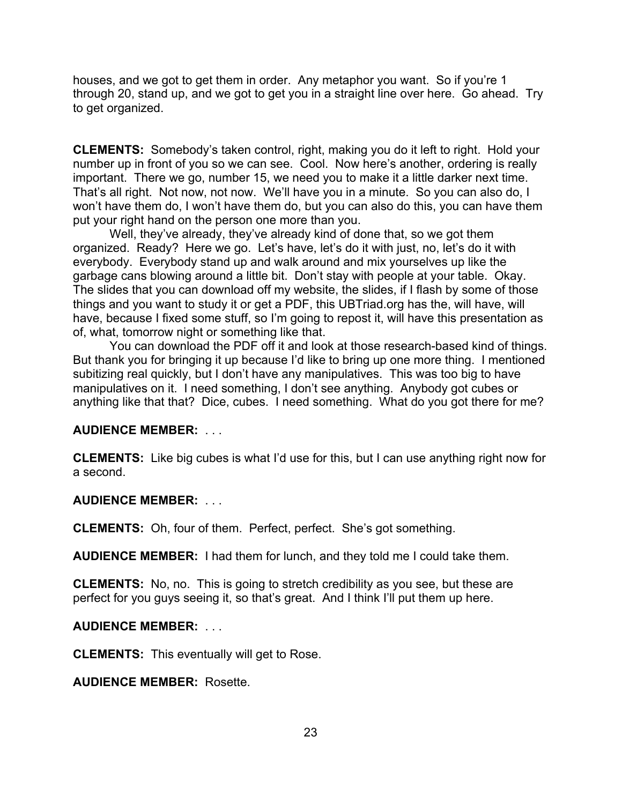houses, and we got to get them in order. Any metaphor you want. So if you're 1 through 20, stand up, and we got to get you in a straight line over here. Go ahead. Try to get organized.

**CLEMENTS:** Somebody's taken control, right, making you do it left to right. Hold your number up in front of you so we can see. Cool. Now here's another, ordering is really important. There we go, number 15, we need you to make it a little darker next time. That's all right. Not now, not now. We'll have you in a minute. So you can also do, I won't have them do, I won't have them do, but you can also do this, you can have them put your right hand on the person one more than you.

Well, they've already, they've already kind of done that, so we got them organized. Ready? Here we go. Let's have, let's do it with just, no, let's do it with everybody. Everybody stand up and walk around and mix yourselves up like the garbage cans blowing around a little bit. Don't stay with people at your table. Okay. The slides that you can download off my website, the slides, if I flash by some of those things and you want to study it or get a PDF, this UBTriad.org has the, will have, will have, because I fixed some stuff, so I'm going to repost it, will have this presentation as of, what, tomorrow night or something like that.

You can download the PDF off it and look at those research-based kind of things. But thank you for bringing it up because I'd like to bring up one more thing. I mentioned subitizing real quickly, but I don't have any manipulatives. This was too big to have manipulatives on it. I need something, I don't see anything. Anybody got cubes or anything like that that? Dice, cubes. I need something. What do you got there for me?

# **AUDIENCE MEMBER:** . . .

**CLEMENTS:** Like big cubes is what I'd use for this, but I can use anything right now for a second.

## **AUDIENCE MEMBER:** . . .

**CLEMENTS:** Oh, four of them. Perfect, perfect. She's got something.

**AUDIENCE MEMBER:** I had them for lunch, and they told me I could take them.

**CLEMENTS:** No, no. This is going to stretch credibility as you see, but these are perfect for you guys seeing it, so that's great. And I think I'll put them up here.

## **AUDIENCE MEMBER:** . . .

**CLEMENTS:** This eventually will get to Rose.

**AUDIENCE MEMBER:** Rosette.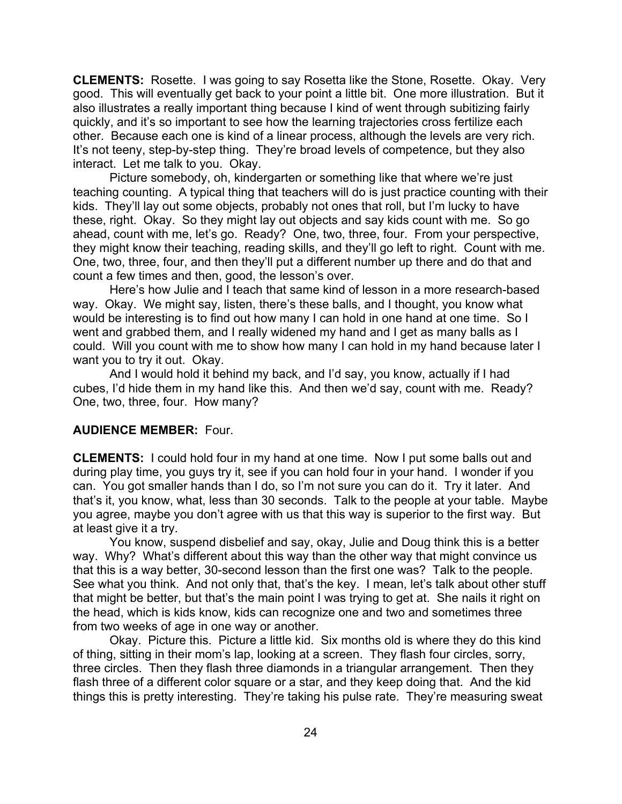**CLEMENTS:** Rosette. I was going to say Rosetta like the Stone, Rosette. Okay. Very good. This will eventually get back to your point a little bit. One more illustration. But it also illustrates a really important thing because I kind of went through subitizing fairly quickly, and it's so important to see how the learning trajectories cross fertilize each other. Because each one is kind of a linear process, although the levels are very rich. It's not teeny, step-by-step thing. They're broad levels of competence, but they also interact. Let me talk to you. Okay.

Picture somebody, oh, kindergarten or something like that where we're just teaching counting. A typical thing that teachers will do is just practice counting with their kids. They'll lay out some objects, probably not ones that roll, but I'm lucky to have these, right. Okay. So they might lay out objects and say kids count with me. So go ahead, count with me, let's go. Ready? One, two, three, four. From your perspective, they might know their teaching, reading skills, and they'll go left to right. Count with me. One, two, three, four, and then they'll put a different number up there and do that and count a few times and then, good, the lesson's over.

Here's how Julie and I teach that same kind of lesson in a more research-based way. Okay. We might say, listen, there's these balls, and I thought, you know what would be interesting is to find out how many I can hold in one hand at one time. So I went and grabbed them, and I really widened my hand and I get as many balls as I could. Will you count with me to show how many I can hold in my hand because later I want you to try it out. Okay.

And I would hold it behind my back, and I'd say, you know, actually if I had cubes, I'd hide them in my hand like this. And then we'd say, count with me. Ready? One, two, three, four. How many?

### **AUDIENCE MEMBER:** Four.

**CLEMENTS:** I could hold four in my hand at one time. Now I put some balls out and during play time, you guys try it, see if you can hold four in your hand. I wonder if you can. You got smaller hands than I do, so I'm not sure you can do it. Try it later. And that's it, you know, what, less than 30 seconds. Talk to the people at your table. Maybe you agree, maybe you don't agree with us that this way is superior to the first way. But at least give it a try.

You know, suspend disbelief and say, okay, Julie and Doug think this is a better way. Why? What's different about this way than the other way that might convince us that this is a way better, 30-second lesson than the first one was? Talk to the people. See what you think. And not only that, that's the key. I mean, let's talk about other stuff that might be better, but that's the main point I was trying to get at. She nails it right on the head, which is kids know, kids can recognize one and two and sometimes three from two weeks of age in one way or another.

Okay. Picture this. Picture a little kid. Six months old is where they do this kind of thing, sitting in their mom's lap, looking at a screen. They flash four circles, sorry, three circles. Then they flash three diamonds in a triangular arrangement. Then they flash three of a different color square or a star, and they keep doing that. And the kid things this is pretty interesting. They're taking his pulse rate. They're measuring sweat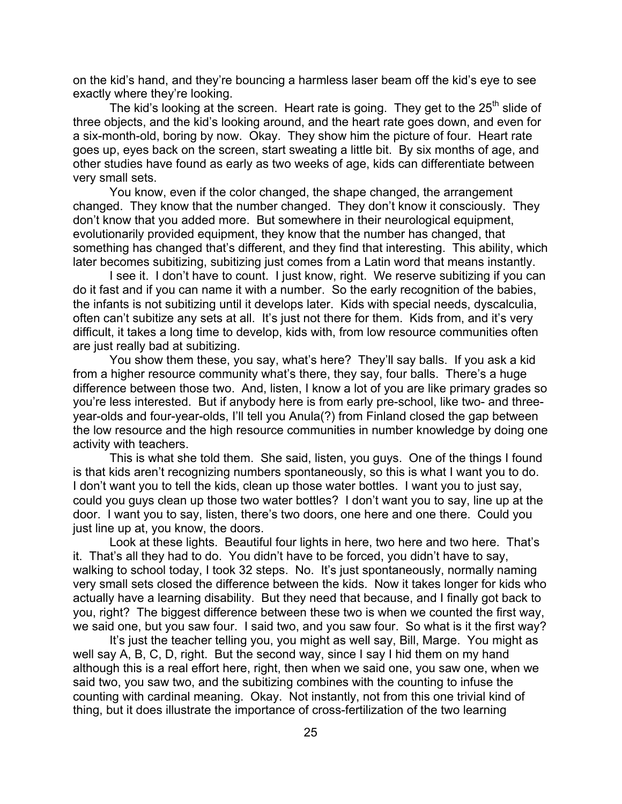on the kid's hand, and they're bouncing a harmless laser beam off the kid's eye to see exactly where they're looking.

The kid's looking at the screen. Heart rate is going. They get to the  $25<sup>th</sup>$  slide of three objects, and the kid's looking around, and the heart rate goes down, and even for a six-month-old, boring by now. Okay. They show him the picture of four. Heart rate goes up, eyes back on the screen, start sweating a little bit. By six months of age, and other studies have found as early as two weeks of age, kids can differentiate between very small sets.

You know, even if the color changed, the shape changed, the arrangement changed. They know that the number changed. They don't know it consciously. They don't know that you added more. But somewhere in their neurological equipment, evolutionarily provided equipment, they know that the number has changed, that something has changed that's different, and they find that interesting. This ability, which later becomes subitizing, subitizing just comes from a Latin word that means instantly.

I see it. I don't have to count. I just know, right. We reserve subitizing if you can do it fast and if you can name it with a number. So the early recognition of the babies, the infants is not subitizing until it develops later. Kids with special needs, dyscalculia, often can't subitize any sets at all. It's just not there for them. Kids from, and it's very difficult, it takes a long time to develop, kids with, from low resource communities often are just really bad at subitizing.

You show them these, you say, what's here? They'll say balls. If you ask a kid from a higher resource community what's there, they say, four balls. There's a huge difference between those two. And, listen, I know a lot of you are like primary grades so you're less interested. But if anybody here is from early pre-school, like two- and threeyear-olds and four-year-olds, I'll tell you Anula(?) from Finland closed the gap between the low resource and the high resource communities in number knowledge by doing one activity with teachers.

This is what she told them. She said, listen, you guys. One of the things I found is that kids aren't recognizing numbers spontaneously, so this is what I want you to do. I don't want you to tell the kids, clean up those water bottles. I want you to just say, could you guys clean up those two water bottles? I don't want you to say, line up at the door. I want you to say, listen, there's two doors, one here and one there. Could you just line up at, you know, the doors.

Look at these lights. Beautiful four lights in here, two here and two here. That's it. That's all they had to do. You didn't have to be forced, you didn't have to say, walking to school today, I took 32 steps. No. It's just spontaneously, normally naming very small sets closed the difference between the kids. Now it takes longer for kids who actually have a learning disability. But they need that because, and I finally got back to you, right? The biggest difference between these two is when we counted the first way, we said one, but you saw four. I said two, and you saw four. So what is it the first way?

It's just the teacher telling you, you might as well say, Bill, Marge. You might as well say A, B, C, D, right. But the second way, since I say I hid them on my hand although this is a real effort here, right, then when we said one, you saw one, when we said two, you saw two, and the subitizing combines with the counting to infuse the counting with cardinal meaning. Okay. Not instantly, not from this one trivial kind of thing, but it does illustrate the importance of cross-fertilization of the two learning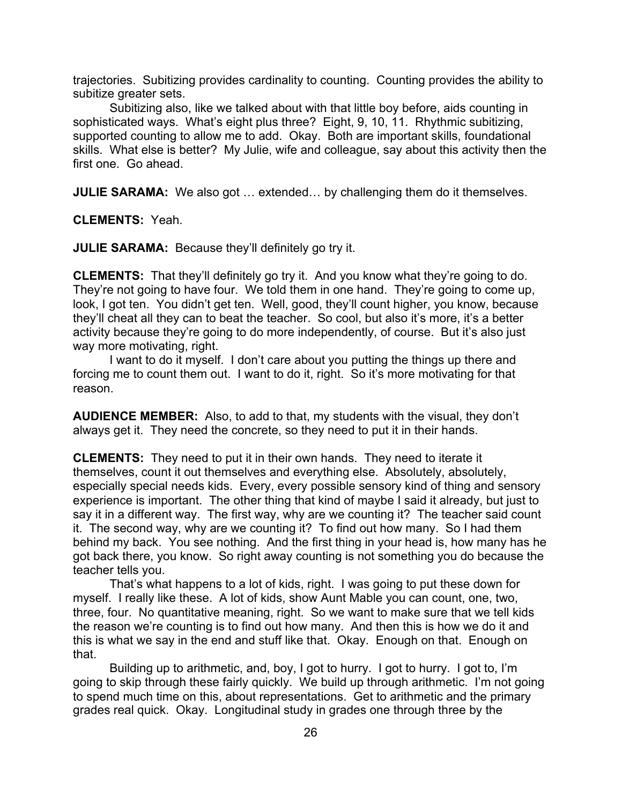trajectories. Subitizing provides cardinality to counting. Counting provides the ability to subitize greater sets.

Subitizing also, like we talked about with that little boy before, aids counting in sophisticated ways. What's eight plus three? Eight, 9, 10, 11. Rhythmic subitizing, supported counting to allow me to add. Okay. Both are important skills, foundational skills. What else is better? My Julie, wife and colleague, say about this activity then the first one. Go ahead.

**JULIE SARAMA:** We also got ... extended... by challenging them do it themselves.

**CLEMENTS:** Yeah.

**JULIE SARAMA:** Because they'll definitely go try it.

**CLEMENTS:** That they'll definitely go try it. And you know what they're going to do. They're not going to have four. We told them in one hand. They're going to come up, look, I got ten. You didn't get ten. Well, good, they'll count higher, you know, because they'll cheat all they can to beat the teacher. So cool, but also it's more, it's a better activity because they're going to do more independently, of course. But it's also just way more motivating, right.

I want to do it myself. I don't care about you putting the things up there and forcing me to count them out. I want to do it, right. So it's more motivating for that reason.

**AUDIENCE MEMBER:** Also, to add to that, my students with the visual, they don't always get it. They need the concrete, so they need to put it in their hands.

**CLEMENTS:** They need to put it in their own hands. They need to iterate it themselves, count it out themselves and everything else. Absolutely, absolutely, especially special needs kids. Every, every possible sensory kind of thing and sensory experience is important. The other thing that kind of maybe I said it already, but just to say it in a different way. The first way, why are we counting it? The teacher said count it. The second way, why are we counting it? To find out how many. So I had them behind my back. You see nothing. And the first thing in your head is, how many has he got back there, you know. So right away counting is not something you do because the teacher tells you.

That's what happens to a lot of kids, right. I was going to put these down for myself. I really like these. A lot of kids, show Aunt Mable you can count, one, two, three, four. No quantitative meaning, right. So we want to make sure that we tell kids the reason we're counting is to find out how many. And then this is how we do it and this is what we say in the end and stuff like that. Okay. Enough on that. Enough on that.

Building up to arithmetic, and, boy, I got to hurry. I got to hurry. I got to, I'm going to skip through these fairly quickly. We build up through arithmetic. I'm not going to spend much time on this, about representations. Get to arithmetic and the primary grades real quick. Okay. Longitudinal study in grades one through three by the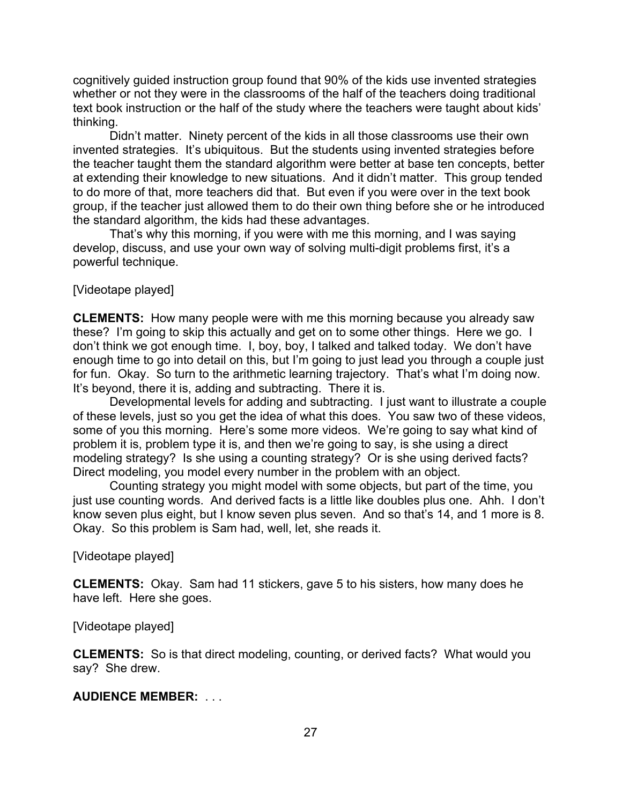cognitively guided instruction group found that 90% of the kids use invented strategies whether or not they were in the classrooms of the half of the teachers doing traditional text book instruction or the half of the study where the teachers were taught about kids' thinking.

Didn't matter. Ninety percent of the kids in all those classrooms use their own invented strategies. It's ubiquitous. But the students using invented strategies before the teacher taught them the standard algorithm were better at base ten concepts, better at extending their knowledge to new situations. And it didn't matter. This group tended to do more of that, more teachers did that. But even if you were over in the text book group, if the teacher just allowed them to do their own thing before she or he introduced the standard algorithm, the kids had these advantages.

That's why this morning, if you were with me this morning, and I was saying develop, discuss, and use your own way of solving multi-digit problems first, it's a powerful technique.

[Videotape played]

**CLEMENTS:** How many people were with me this morning because you already saw these? I'm going to skip this actually and get on to some other things. Here we go. I don't think we got enough time. I, boy, boy, I talked and talked today. We don't have enough time to go into detail on this, but I'm going to just lead you through a couple just for fun. Okay. So turn to the arithmetic learning trajectory. That's what I'm doing now. It's beyond, there it is, adding and subtracting. There it is.

Developmental levels for adding and subtracting. I just want to illustrate a couple of these levels, just so you get the idea of what this does. You saw two of these videos, some of you this morning. Here's some more videos. We're going to say what kind of problem it is, problem type it is, and then we're going to say, is she using a direct modeling strategy? Is she using a counting strategy? Or is she using derived facts? Direct modeling, you model every number in the problem with an object.

Counting strategy you might model with some objects, but part of the time, you just use counting words. And derived facts is a little like doubles plus one. Ahh. I don't know seven plus eight, but I know seven plus seven. And so that's 14, and 1 more is 8. Okay. So this problem is Sam had, well, let, she reads it.

[Videotape played]

**CLEMENTS:** Okay. Sam had 11 stickers, gave 5 to his sisters, how many does he have left. Here she goes.

[Videotape played]

**CLEMENTS:** So is that direct modeling, counting, or derived facts? What would you say? She drew.

### **AUDIENCE MEMBER:** . . .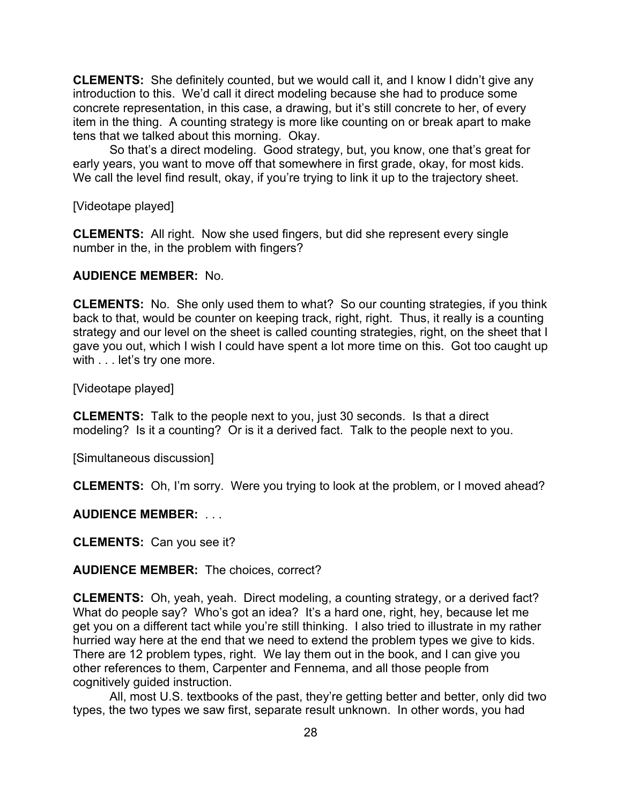**CLEMENTS:** She definitely counted, but we would call it, and I know I didn't give any introduction to this. We'd call it direct modeling because she had to produce some concrete representation, in this case, a drawing, but it's still concrete to her, of every item in the thing. A counting strategy is more like counting on or break apart to make tens that we talked about this morning. Okay.

So that's a direct modeling. Good strategy, but, you know, one that's great for early years, you want to move off that somewhere in first grade, okay, for most kids. We call the level find result, okay, if you're trying to link it up to the trajectory sheet.

[Videotape played]

**CLEMENTS:** All right. Now she used fingers, but did she represent every single number in the, in the problem with fingers?

### **AUDIENCE MEMBER:** No.

**CLEMENTS:** No. She only used them to what? So our counting strategies, if you think back to that, would be counter on keeping track, right, right. Thus, it really is a counting strategy and our level on the sheet is called counting strategies, right, on the sheet that I gave you out, which I wish I could have spent a lot more time on this. Got too caught up with . . . let's try one more.

[Videotape played]

**CLEMENTS:** Talk to the people next to you, just 30 seconds. Is that a direct modeling? Is it a counting? Or is it a derived fact. Talk to the people next to you.

[Simultaneous discussion]

**CLEMENTS:** Oh, I'm sorry. Were you trying to look at the problem, or I moved ahead?

**AUDIENCE MEMBER:** . . .

**CLEMENTS:** Can you see it?

**AUDIENCE MEMBER:** The choices, correct?

**CLEMENTS:** Oh, yeah, yeah. Direct modeling, a counting strategy, or a derived fact? What do people say? Who's got an idea? It's a hard one, right, hey, because let me get you on a different tact while you're still thinking. I also tried to illustrate in my rather hurried way here at the end that we need to extend the problem types we give to kids. There are 12 problem types, right. We lay them out in the book, and I can give you other references to them, Carpenter and Fennema, and all those people from cognitively guided instruction.

All, most U.S. textbooks of the past, they're getting better and better, only did two types, the two types we saw first, separate result unknown. In other words, you had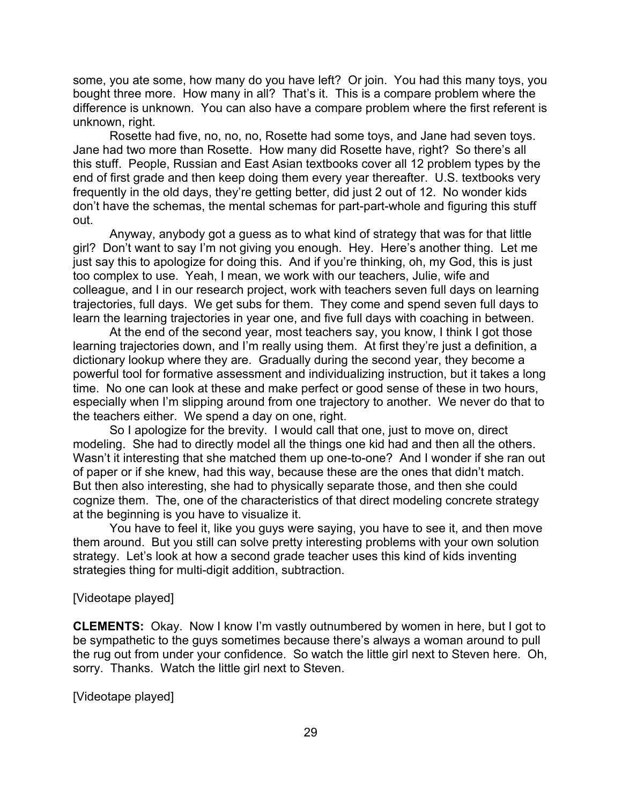some, you ate some, how many do you have left? Or join. You had this many toys, you bought three more. How many in all? That's it. This is a compare problem where the difference is unknown. You can also have a compare problem where the first referent is unknown, right.

Rosette had five, no, no, no, Rosette had some toys, and Jane had seven toys. Jane had two more than Rosette. How many did Rosette have, right? So there's all this stuff. People, Russian and East Asian textbooks cover all 12 problem types by the end of first grade and then keep doing them every year thereafter. U.S. textbooks very frequently in the old days, they're getting better, did just 2 out of 12. No wonder kids don't have the schemas, the mental schemas for part-part-whole and figuring this stuff out.

Anyway, anybody got a guess as to what kind of strategy that was for that little girl? Don't want to say I'm not giving you enough. Hey. Here's another thing. Let me just say this to apologize for doing this. And if you're thinking, oh, my God, this is just too complex to use. Yeah, I mean, we work with our teachers, Julie, wife and colleague, and I in our research project, work with teachers seven full days on learning trajectories, full days. We get subs for them. They come and spend seven full days to learn the learning trajectories in year one, and five full days with coaching in between.

At the end of the second year, most teachers say, you know, I think I got those learning trajectories down, and I'm really using them. At first they're just a definition, a dictionary lookup where they are. Gradually during the second year, they become a powerful tool for formative assessment and individualizing instruction, but it takes a long time. No one can look at these and make perfect or good sense of these in two hours, especially when I'm slipping around from one trajectory to another. We never do that to the teachers either. We spend a day on one, right.

So I apologize for the brevity. I would call that one, just to move on, direct modeling. She had to directly model all the things one kid had and then all the others. Wasn't it interesting that she matched them up one-to-one? And I wonder if she ran out of paper or if she knew, had this way, because these are the ones that didn't match. But then also interesting, she had to physically separate those, and then she could cognize them. The, one of the characteristics of that direct modeling concrete strategy at the beginning is you have to visualize it.

You have to feel it, like you guys were saying, you have to see it, and then move them around. But you still can solve pretty interesting problems with your own solution strategy. Let's look at how a second grade teacher uses this kind of kids inventing strategies thing for multi-digit addition, subtraction.

### [Videotape played]

**CLEMENTS:** Okay. Now I know I'm vastly outnumbered by women in here, but I got to be sympathetic to the guys sometimes because there's always a woman around to pull the rug out from under your confidence. So watch the little girl next to Steven here. Oh, sorry. Thanks. Watch the little girl next to Steven.

[Videotape played]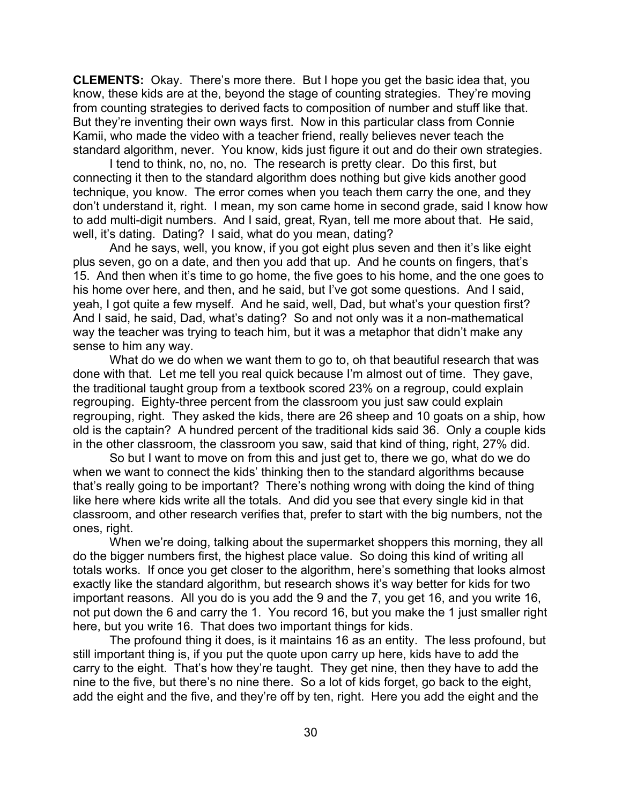**CLEMENTS:** Okay. There's more there. But I hope you get the basic idea that, you know, these kids are at the, beyond the stage of counting strategies. They're moving from counting strategies to derived facts to composition of number and stuff like that. But they're inventing their own ways first. Now in this particular class from Connie Kamii, who made the video with a teacher friend, really believes never teach the standard algorithm, never. You know, kids just figure it out and do their own strategies.

I tend to think, no, no, no. The research is pretty clear. Do this first, but connecting it then to the standard algorithm does nothing but give kids another good technique, you know. The error comes when you teach them carry the one, and they don't understand it, right. I mean, my son came home in second grade, said I know how to add multi-digit numbers. And I said, great, Ryan, tell me more about that. He said, well, it's dating. Dating? I said, what do you mean, dating?

And he says, well, you know, if you got eight plus seven and then it's like eight plus seven, go on a date, and then you add that up. And he counts on fingers, that's 15. And then when it's time to go home, the five goes to his home, and the one goes to his home over here, and then, and he said, but I've got some questions. And I said, yeah, I got quite a few myself. And he said, well, Dad, but what's your question first? And I said, he said, Dad, what's dating? So and not only was it a non-mathematical way the teacher was trying to teach him, but it was a metaphor that didn't make any sense to him any way.

What do we do when we want them to go to, oh that beautiful research that was done with that. Let me tell you real quick because I'm almost out of time. They gave, the traditional taught group from a textbook scored 23% on a regroup, could explain regrouping. Eighty-three percent from the classroom you just saw could explain regrouping, right. They asked the kids, there are 26 sheep and 10 goats on a ship, how old is the captain? A hundred percent of the traditional kids said 36. Only a couple kids in the other classroom, the classroom you saw, said that kind of thing, right, 27% did.

So but I want to move on from this and just get to, there we go, what do we do when we want to connect the kids' thinking then to the standard algorithms because that's really going to be important? There's nothing wrong with doing the kind of thing like here where kids write all the totals. And did you see that every single kid in that classroom, and other research verifies that, prefer to start with the big numbers, not the ones, right.

When we're doing, talking about the supermarket shoppers this morning, they all do the bigger numbers first, the highest place value. So doing this kind of writing all totals works. If once you get closer to the algorithm, here's something that looks almost exactly like the standard algorithm, but research shows it's way better for kids for two important reasons. All you do is you add the 9 and the 7, you get 16, and you write 16, not put down the 6 and carry the 1. You record 16, but you make the 1 just smaller right here, but you write 16. That does two important things for kids.

The profound thing it does, is it maintains 16 as an entity. The less profound, but still important thing is, if you put the quote upon carry up here, kids have to add the carry to the eight. That's how they're taught. They get nine, then they have to add the nine to the five, but there's no nine there. So a lot of kids forget, go back to the eight, add the eight and the five, and they're off by ten, right. Here you add the eight and the